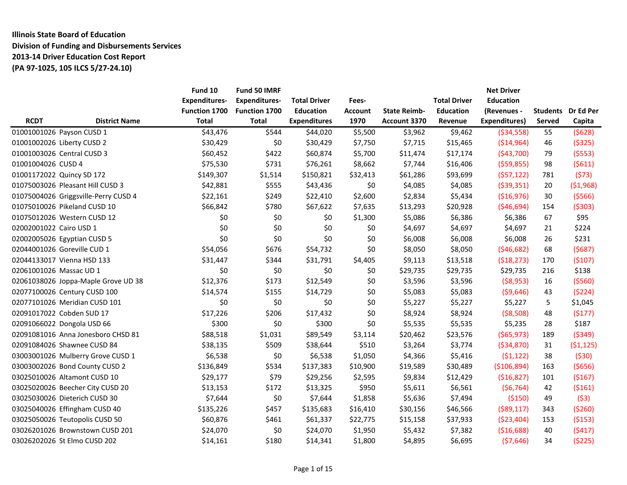# **Illinois State Board of Education Division of Funding and Disbursements Services 2013-14 Driver Education Cost Report (PA 97-1025, 105 ILCS 5/27-24.10)**

|                                                     | Fund 10              | Fund 50 IMRF         |                     |                |                     |                     | <b>Net Driver</b> |                 |            |
|-----------------------------------------------------|----------------------|----------------------|---------------------|----------------|---------------------|---------------------|-------------------|-----------------|------------|
| <b>Expenditures-</b>                                |                      | <b>Expenditures-</b> | <b>Total Driver</b> | Fees-          |                     | <b>Total Driver</b> | <b>Education</b>  |                 |            |
|                                                     | <b>Function 1700</b> | Function 1700        | <b>Education</b>    | <b>Account</b> | <b>State Reimb-</b> | <b>Education</b>    | (Revenues -       | <b>Students</b> | Dr Ed Per  |
| <b>RCDT</b><br><b>District Name</b><br><b>Total</b> |                      | <b>Total</b>         | <b>Expenditures</b> | 1970           | Account 3370        | Revenue             | Expenditures)     | <b>Served</b>   | Capita     |
| 01001001026 Payson CUSD 1                           | \$43,476             | \$544                | \$44,020            | \$5,500        | \$3,962             | \$9,462             | ( \$34, 558)      | 55              | (5628)     |
| 01001002026 Liberty CUSD 2                          | \$30,429             | \$0                  | \$30,429            | \$7,750        | \$7,715             | \$15,465            | ( \$14, 964)      | 46              | (5325)     |
| 01001003026 Central CUSD 3                          | \$60,452             | \$422                | \$60,874            | \$5,700        | \$11,474            | \$17,174            | (543,700)         | 79              | (5553)     |
| 01001004026 CUSD 4                                  | \$75,530             | \$731                | \$76,261            | \$8,662        | \$7,744             | \$16,406            | (559, 855)        | 98              | (5611)     |
| 01001172022 Quincy SD 172                           | \$149,307            | \$1,514              | \$150,821           | \$32,413       | \$61,286            | \$93,699            | (557, 122)        | 781             | (573)      |
| 01075003026 Pleasant Hill CUSD 3                    | \$42,881             | \$555                | \$43,436            | \$0            | \$4,085             | \$4,085             | (539, 351)        | 20              | ( \$1,968) |
| 01075004026 Griggsville-Perry CUSD 4                | \$22,161             | \$249                | \$22,410            | \$2,600        | \$2,834             | \$5,434             | ( \$16, 976)      | 30              | (5566)     |
| 01075010026 Pikeland CUSD 10                        | \$66,842             | \$780                | \$67,622            | \$7,635        | \$13,293            | \$20,928            | (546, 694)        | 154             | (5303)     |
| 01075012026 Western CUSD 12                         | \$0                  | \$0                  | \$0                 | \$1,300        | \$5,086             | \$6,386             | \$6,386           | 67              | \$95       |
| 02002001022 Cairo USD 1                             | \$0                  | \$0                  | \$0                 | \$0            | \$4,697             | \$4,697             | \$4,697           | 21              | \$224      |
| 02002005026 Egyptian CUSD 5                         | \$0                  | \$0                  | \$0                 | \$0            | \$6,008             | \$6,008             | \$6,008           | 26              | \$231      |
| 02044001026 Goreville CUD 1                         | \$54,056             | \$676                | \$54,732            | \$0            | \$8,050             | \$8,050             | (546, 682)        | 68              | (5687)     |
| 02044133017 Vienna HSD 133                          | \$31,447             | \$344                | \$31,791            | \$4,405        | \$9,113             | \$13,518            | (518, 273)        | 170             | (5107)     |
| 02061001026 Massac UD 1                             | \$0                  | \$0                  | \$0                 | \$0            | \$29,735            | \$29,735            | \$29,735          | 216             | \$138      |
| 02061038026 Joppa-Maple Grove UD 38                 | \$12,376             | \$173                | \$12,549            | \$0            | \$3,596             | \$3,596             | (58,953)          | 16              | (5560)     |
| 02077100026 Century CUSD 100                        | \$14,574             | \$155                | \$14,729            | \$0            | \$5,083             | \$5,083             | ( \$9,646)        | 43              | (5224)     |
| 02077101026 Meridian CUSD 101                       | \$0                  | \$0                  | \$0                 | \$0            | \$5,227             | \$5,227             | \$5,227           | 5               | \$1,045    |
| 02091017022 Cobden SUD 17                           | \$17,226             | \$206                | \$17,432            | \$0            | \$8,924             | \$8,924             | ( \$8,508)        | 48              | (5177)     |
| 02091066022 Dongola USD 66                          | \$300                | \$0                  | \$300               | \$0            | \$5,535             | \$5,535             | \$5,235           | 28              | \$187      |
| 02091081016 Anna Jonesboro CHSD 81                  | \$88,518             | \$1,031              | \$89,549            | \$3,114        | \$20,462            | \$23,576            | (565, 973)        | 189             | (5349)     |
| 02091084026 Shawnee CUSD 84                         | \$38,135             | \$509                | \$38,644            | \$510          | \$3,264             | \$3,774             | ( \$34, 870)      | 31              | (51, 125)  |
| 03003001026 Mulberry Grove CUSD 1                   | \$6,538              | \$0                  | \$6,538             | \$1,050        | \$4,366             | \$5,416             | (51, 122)         | 38              | (530)      |
| 03003002026 Bond County CUSD 2                      | \$136,849            | \$534                | \$137,383           | \$10,900       | \$19,589            | \$30,489            | ( \$106, 894)     | 163             | (5656)     |
| 03025010026 Altamont CUSD 10                        | \$29,177             | \$79                 | \$29,256            | \$2,595        | \$9,834             | \$12,429            | (516, 827)        | 101             | (5167)     |
| 03025020026 Beecher City CUSD 20                    | \$13,153             | \$172                | \$13,325            | \$950          | \$5,611             | \$6,561             | (56, 764)         | 42              | (5161)     |
| 03025030026 Dieterich CUSD 30                       | \$7,644              | \$0                  | \$7,644             | \$1,858        | \$5,636             | \$7,494             | (5150)            | 49              | (53)       |
| 03025040026 Effingham CUSD 40                       | \$135,226            | \$457                | \$135,683           | \$16,410       | \$30,156            | \$46,566            | $($ \$89,117)     | 343             | (5260)     |
| 03025050026 Teutopolis CUSD 50                      | \$60,876             | \$461                | \$61,337            | \$22,775       | \$15,158            | \$37,933            | ( \$23,404)       | 153             | (5153)     |
| 03026201026 Brownstown CUSD 201                     | \$24,070             | \$0                  | \$24,070            | \$1,950        | \$5,432             | \$7,382             | ( \$16,688)       | 40              | (5417)     |
| 03026202026 St Elmo CUSD 202                        | \$14,161             | \$180                | \$14,341            | \$1,800        | \$4,895             | \$6,695             | (57, 646)         | 34              | (5225)     |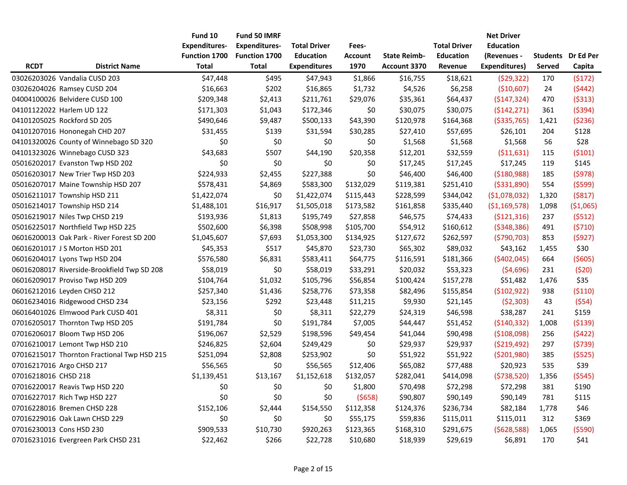|                      |                                             | Fund 10              | <b>Fund 50 IMRF</b>  |                     |           |                     |                     | <b>Net Driver</b> |        |                           |
|----------------------|---------------------------------------------|----------------------|----------------------|---------------------|-----------|---------------------|---------------------|-------------------|--------|---------------------------|
|                      |                                             | <b>Expenditures-</b> | <b>Expenditures-</b> | <b>Total Driver</b> | Fees-     |                     | <b>Total Driver</b> | <b>Education</b>  |        |                           |
|                      |                                             | <b>Function 1700</b> | <b>Function 1700</b> | <b>Education</b>    | Account   | <b>State Reimb-</b> | <b>Education</b>    | (Revenues -       |        | <b>Students</b> Dr Ed Per |
| <b>RCDT</b>          | <b>District Name</b>                        | <b>Total</b>         | <b>Total</b>         | <b>Expenditures</b> | 1970      | Account 3370        | Revenue             | Expenditures)     | Served | Capita                    |
|                      | 03026203026 Vandalia CUSD 203               | \$47,448             | \$495                | \$47,943            | \$1,866   | \$16,755            | \$18,621            | (529, 322)        | 170    | (5172)                    |
|                      | 03026204026 Ramsey CUSD 204                 | \$16,663             | \$202                | \$16,865            | \$1,732   | \$4,526             | \$6,258             | (\$10,607)        | 24     | (5442)                    |
|                      | 04004100026 Belvidere CUSD 100              | \$209,348            | \$2,413              | \$211,761           | \$29,076  | \$35,361            | \$64,437            | (5147, 324)       | 470    | (5313)                    |
|                      | 04101122022 Harlem UD 122                   | \$171,303            | \$1,043              | \$172,346           | \$0       | \$30,075            | \$30,075            | (5142, 271)       | 361    | (5394)                    |
|                      | 04101205025 Rockford SD 205                 | \$490,646            | \$9,487              | \$500,133           | \$43,390  | \$120,978           | \$164,368           | ( \$335,765)      | 1,421  | ( \$236)                  |
|                      | 04101207016 Hononegah CHD 207               | \$31,455             | \$139                | \$31,594            | \$30,285  | \$27,410            | \$57,695            | \$26,101          | 204    | \$128                     |
|                      | 04101320026 County of Winnebago SD 320      | \$0                  | \$0                  | \$0                 | \$0       | \$1,568             | \$1,568             | \$1,568           | 56     | \$28                      |
|                      | 04101323026 Winnebago CUSD 323              | \$43,683             | \$507                | \$44,190            | \$20,358  | \$12,201            | \$32,559            | (511, 631)        | 115    | (5101)                    |
|                      | 05016202017 Evanston Twp HSD 202            | \$0                  | \$0                  | \$0                 | \$0       | \$17,245            | \$17,245            | \$17,245          | 119    | \$145                     |
|                      | 05016203017 New Trier Twp HSD 203           | \$224,933            | \$2,455              | \$227,388           | \$0       | \$46,400            | \$46,400            | ( \$180, 988)     | 185    | (5978)                    |
|                      | 05016207017 Maine Township HSD 207          | \$578,431            | \$4,869              | \$583,300           | \$132,029 | \$119,381           | \$251,410           | ( \$331, 890)     | 554    | (5599)                    |
|                      | 05016211017 Township HSD 211                | \$1,422,074          | \$0                  | \$1,422,074         | \$115,443 | \$228,599           | \$344,042           | (51,078,032)      | 1,320  | (5817)                    |
|                      | 05016214017 Township HSD 214                | \$1,488,101          | \$16,917             | \$1,505,018         | \$173,582 | \$161,858           | \$335,440           | (51, 169, 578)    | 1,098  | ( \$1,065)                |
|                      | 05016219017 Niles Twp CHSD 219              | \$193,936            | \$1,813              | \$195,749           | \$27,858  | \$46,575            | \$74,433            | ( \$121, 316)     | 237    | (5512)                    |
|                      | 05016225017 Northfield Twp HSD 225          | \$502,600            | \$6,398              | \$508,998           | \$105,700 | \$54,912            | \$160,612           | ( \$348, 386)     | 491    | (5710)                    |
|                      | 06016200013 Oak Park - River Forest SD 200  | \$1,045,607          | \$7,693              | \$1,053,300         | \$134,925 | \$127,672           | \$262,597           | (5790, 703)       | 853    | (5927)                    |
|                      | 06016201017 J S Morton HSD 201              | \$45,353             | \$517                | \$45,870            | \$23,730  | \$65,302            | \$89,032            | \$43,162          | 1,455  | \$30                      |
|                      | 06016204017 Lyons Twp HSD 204               | \$576,580            | \$6,831              | \$583,411           | \$64,775  | \$116,591           | \$181,366           | (5402, 045)       | 664    | (5605)                    |
|                      | 06016208017 Riverside-Brookfield Twp SD 208 | \$58,019             | \$0                  | \$58,019            | \$33,291  | \$20,032            | \$53,323            | (54,696)          | 231    | (520)                     |
|                      | 06016209017 Proviso Twp HSD 209             | \$104,764            | \$1,032              | \$105,796           | \$56,854  | \$100,424           | \$157,278           | \$51,482          | 1,476  | \$35                      |
|                      | 06016212016 Leyden CHSD 212                 | \$257,340            | \$1,436              | \$258,776           | \$73,358  | \$82,496            | \$155,854           | (5102, 922)       | 938    | ( \$110)                  |
|                      | 06016234016 Ridgewood CHSD 234              | \$23,156             | \$292                | \$23,448            | \$11,215  | \$9,930             | \$21,145            | (52,303)          | 43     | (554)                     |
|                      | 06016401026 Elmwood Park CUSD 401           | \$8,311              | \$0                  | \$8,311             | \$22,279  | \$24,319            | \$46,598            | \$38,287          | 241    | \$159                     |
|                      | 07016205017 Thornton Twp HSD 205            | \$191,784            | \$0                  | \$191,784           | \$7,005   | \$44,447            | \$51,452            | ( \$140, 332)     | 1,008  | ( \$139)                  |
|                      | 07016206017 Bloom Twp HSD 206               | \$196,067            | \$2,529              | \$198,596           | \$49,454  | \$41,044            | \$90,498            | (5108,098)        | 256    | (5422)                    |
|                      | 07016210017 Lemont Twp HSD 210              | \$246,825            | \$2,604              | \$249,429           | \$0       | \$29,937            | \$29,937            | ( \$219,492)      | 297    | (5739)                    |
|                      | 07016215017 Thornton Fractional Twp HSD 215 | \$251,094            | \$2,808              | \$253,902           | \$0       | \$51,922            | \$51,922            | ( \$201, 980)     | 385    | (5525)                    |
|                      | 07016217016 Argo CHSD 217                   | \$56,565             | \$0                  | \$56,565            | \$12,406  | \$65,082            | \$77,488            | \$20,923          | 535    | \$39                      |
| 07016218016 CHSD 218 |                                             | \$1,139,451          | \$13,167             | \$1,152,618         | \$132,057 | \$282,041           | \$414,098           | (5738,520)        | 1,356  | (5545)                    |
|                      | 07016220017 Reavis Twp HSD 220              | \$0                  | \$0                  | \$0                 | \$1,800   | \$70,498            | \$72,298            | \$72,298          | 381    | \$190                     |
|                      | 07016227017 Rich Twp HSD 227                | \$0                  | \$0                  | \$0                 | (5658)    | \$90,807            | \$90,149            | \$90,149          | 781    | \$115                     |
|                      | 07016228016 Bremen CHSD 228                 | \$152,106            | \$2,444              | \$154,550           | \$112,358 | \$124,376           | \$236,734           | \$82,184          | 1,778  | \$46                      |
|                      | 07016229016 Oak Lawn CHSD 229               | \$0                  | \$0                  | \$0                 | \$55,175  | \$59,836            | \$115,011           | \$115,011         | 312    | \$369                     |
|                      | 07016230013 Cons HSD 230                    | \$909,533            | \$10,730             | \$920,263           | \$123,365 | \$168,310           | \$291,675           | (5628,588)        | 1,065  | (5590)                    |
|                      | 07016231016 Evergreen Park CHSD 231         | \$22,462             | \$266                | \$22,728            | \$10,680  | \$18,939            | \$29,619            | \$6,891           | 170    | \$41                      |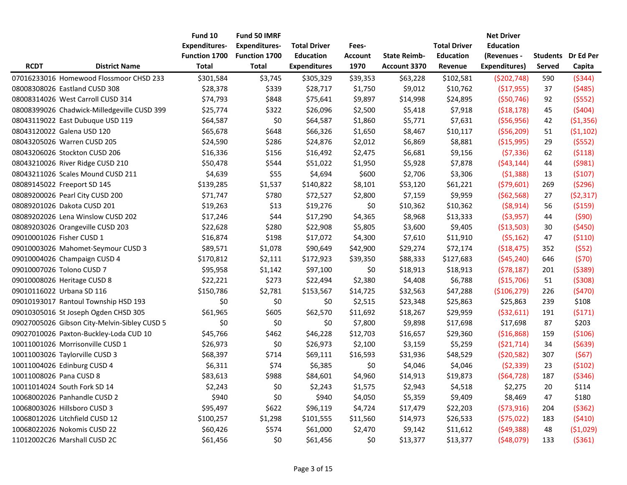|                         |                                              | Fund 10              | Fund 50 IMRF         |                     |                |                     |                     | <b>Net Driver</b>    |               |                    |
|-------------------------|----------------------------------------------|----------------------|----------------------|---------------------|----------------|---------------------|---------------------|----------------------|---------------|--------------------|
|                         |                                              | <b>Expenditures-</b> | <b>Expenditures-</b> | <b>Total Driver</b> | Fees-          |                     | <b>Total Driver</b> | <b>Education</b>     |               |                    |
|                         |                                              | <b>Function 1700</b> | Function 1700        | <b>Education</b>    | <b>Account</b> | <b>State Reimb-</b> | <b>Education</b>    | (Revenues -          |               | Students Dr Ed Per |
| <b>RCDT</b>             | <b>District Name</b>                         | <b>Total</b>         | <b>Total</b>         | <b>Expenditures</b> | 1970           | Account 3370        | Revenue             | <b>Expenditures)</b> | <b>Served</b> | Capita             |
|                         | 07016233016 Homewood Flossmoor CHSD 233      | \$301,584            | \$3,745              | \$305,329           | \$39,353       | \$63,228            | \$102,581           | (5202, 748)          | 590           | ( \$344)           |
|                         | 08008308026 Eastland CUSD 308                | \$28,378             | \$339                | \$28,717            | \$1,750        | \$9,012             | \$10,762            | (517, 955)           | 37            | (5485)             |
|                         | 08008314026 West Carroll CUSD 314            | \$74,793             | \$848                | \$75,641            | \$9,897        | \$14,998            | \$24,895            | (550, 746)           | 92            | (5552)             |
|                         | 08008399026 Chadwick-Milledgeville CUSD 399  | \$25,774             | \$322                | \$26,096            | \$2,500        | \$5,418             | \$7,918             | (518, 178)           | 45            | (5404)             |
|                         | 08043119022 East Dubuque USD 119             | \$64,587             | \$0                  | \$64,587            | \$1,860        | \$5,771             | \$7,631             | (556, 956)           | 42            | ( \$1,356)         |
|                         | 08043120022 Galena USD 120                   | \$65,678             | \$648                | \$66,326            | \$1,650        | \$8,467             | \$10,117            | (556, 209)           | 51            | (51, 102)          |
|                         | 08043205026 Warren CUSD 205                  | \$24,590             | \$286                | \$24,876            | \$2,012        | \$6,869             | \$8,881             | ( \$15,995)          | 29            | (5552)             |
|                         | 08043206026 Stockton CUSD 206                | \$16,336             | \$156                | \$16,492            | \$2,475        | \$6,681             | \$9,156             | (57, 336)            | 62            | (5118)             |
|                         | 08043210026 River Ridge CUSD 210             | \$50,478             | \$544                | \$51,022            | \$1,950        | \$5,928             | \$7,878             | (543, 144)           | 44            | (5981)             |
|                         | 08043211026 Scales Mound CUSD 211            | \$4,639              | \$55                 | \$4,694             | \$600          | \$2,706             | \$3,306             | (51, 388)            | 13            | (5107)             |
|                         | 08089145022 Freeport SD 145                  | \$139,285            | \$1,537              | \$140,822           | \$8,101        | \$53,120            | \$61,221            | (579,601)            | 269           | (5296)             |
|                         | 08089200026 Pearl City CUSD 200              | \$71,747             | \$780                | \$72,527            | \$2,800        | \$7,159             | \$9,959             | (562, 568)           | 27            | (52, 317)          |
|                         | 08089201026 Dakota CUSD 201                  | \$19,263             | \$13                 | \$19,276            | \$0            | \$10,362            | \$10,362            | (58, 914)            | 56            | (5159)             |
|                         | 08089202026 Lena Winslow CUSD 202            | \$17,246             | \$44                 | \$17,290            | \$4,365        | \$8,968             | \$13,333            | ( \$3,957)           | 44            | (590)              |
|                         | 08089203026 Orangeville CUSD 203             | \$22,628             | \$280                | \$22,908            | \$5,805        | \$3,600             | \$9,405             | ( \$13,503)          | 30            | (5450)             |
|                         | 09010001026 Fisher CUSD 1                    | \$16,874             | \$198                | \$17,072            | \$4,300        | \$7,610             | \$11,910            | (55, 162)            | 47            | (5110)             |
|                         | 09010003026 Mahomet-Seymour CUSD 3           | \$89,571             | \$1,078              | \$90,649            | \$42,900       | \$29,274            | \$72,174            | (518, 475)           | 352           | (552)              |
|                         | 09010004026 Champaign CUSD 4                 | \$170,812            | \$2,111              | \$172,923           | \$39,350       | \$88,333            | \$127,683           | (545, 240)           | 646           | (570)              |
|                         | 09010007026 Tolono CUSD 7                    | \$95,958             | \$1,142              | \$97,100            | \$0            | \$18,913            | \$18,913            | (578, 187)           | 201           | (5389)             |
|                         | 09010008026 Heritage CUSD 8                  | \$22,221             | \$273                | \$22,494            | \$2,380        | \$4,408             | \$6,788             | ( \$15,706)          | 51            | (5308)             |
|                         | 09010116022 Urbana SD 116                    | \$150,786            | \$2,781              | \$153,567           | \$14,725       | \$32,563            | \$47,288            | ( \$106, 279)        | 226           | (5470)             |
|                         | 09010193017 Rantoul Township HSD 193         | \$0                  | \$0                  | \$0                 | \$2,515        | \$23,348            | \$25,863            | \$25,863             | 239           | \$108              |
|                         | 09010305016 St Joseph Ogden CHSD 305         | \$61,965             | \$605                | \$62,570            | \$11,692       | \$18,267            | \$29,959            | ( \$32,611)          | 191           | (5171)             |
|                         | 09027005026 Gibson City-Melvin-Sibley CUSD 5 | \$0                  | \$0                  | \$0                 | \$7,800        | \$9,898             | \$17,698            | \$17,698             | 87            | \$203              |
|                         | 09027010026 Paxton-Buckley-Loda CUD 10       | \$45,766             | \$462                | \$46,228            | \$12,703       | \$16,657            | \$29,360            | ( \$16, 868)         | 159           | (5106)             |
|                         | 10011001026 Morrisonville CUSD 1             | \$26,973             | \$0                  | \$26,973            | \$2,100        | \$3,159             | \$5,259             | (521, 714)           | 34            | (5639)             |
|                         | 10011003026 Taylorville CUSD 3               | \$68,397             | \$714                | \$69,111            | \$16,593       | \$31,936            | \$48,529            | (520, 582)           | 307           | (567)              |
|                         | 10011004026 Edinburg CUSD 4                  | \$6,311              | \$74                 | \$6,385             | \$0            | \$4,046             | \$4,046             | (52, 339)            | 23            | (5102)             |
| 10011008026 Pana CUSD 8 |                                              | \$83,613             | \$988                | \$84,601            | \$4,960        | \$14,913            | \$19,873            | (564, 728)           | 187           | ( \$346)           |
|                         | 10011014024 South Fork SD 14                 | \$2,243              | \$0                  | \$2,243             | \$1,575        | \$2,943             | \$4,518             | \$2,275              | 20            | \$114              |
|                         | 10068002026 Panhandle CUSD 2                 | \$940                | \$0                  | \$940               | \$4,050        | \$5,359             | \$9,409             | \$8,469              | 47            | \$180              |
|                         | 10068003026 Hillsboro CUSD 3                 | \$95,497             | \$622                | \$96,119            | \$4,724        | \$17,479            | \$22,203            | (573, 916)           | 204           | (5362)             |
|                         | 10068012026 Litchfield CUSD 12               | \$100,257            | \$1,298              | \$101,555           | \$11,560       | \$14,973            | \$26,533            | (575, 022)           | 183           | (5410)             |
|                         | 10068022026 Nokomis CUSD 22                  | \$60,426             | \$574                | \$61,000            | \$2,470        | \$9,142             | \$11,612            | (549, 388)           | 48            | ( \$1,029)         |
|                         | 11012002C26 Marshall CUSD 2C                 | \$61,456             | \$0                  | \$61,456            | \$0            | \$13,377            | \$13,377            | (548,079)            | 133           | ( \$361)           |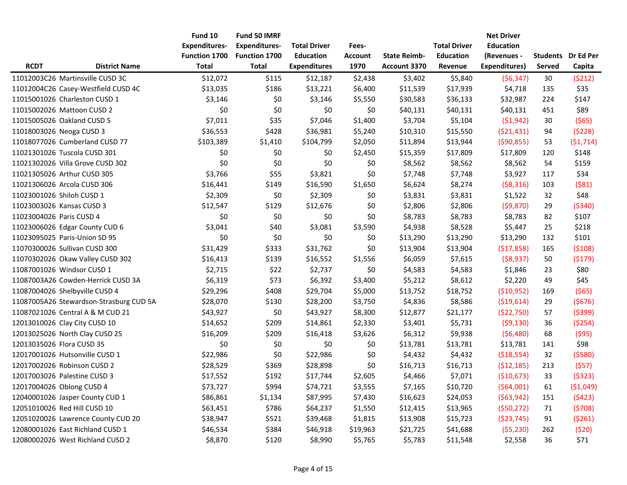|                          |                                         | Fund 10              | <b>Fund 50 IMRF</b>  |                     |                |                     |                     | <b>Net Driver</b>    |               |                           |
|--------------------------|-----------------------------------------|----------------------|----------------------|---------------------|----------------|---------------------|---------------------|----------------------|---------------|---------------------------|
|                          |                                         | <b>Expenditures-</b> | <b>Expenditures-</b> | <b>Total Driver</b> | Fees-          |                     | <b>Total Driver</b> | <b>Education</b>     |               |                           |
|                          |                                         | <b>Function 1700</b> | <b>Function 1700</b> | <b>Education</b>    | <b>Account</b> | <b>State Reimb-</b> | <b>Education</b>    | (Revenues -          |               | <b>Students</b> Dr Ed Per |
| <b>RCDT</b>              | <b>District Name</b>                    | <b>Total</b>         | <b>Total</b>         | <b>Expenditures</b> | 1970           | <b>Account 3370</b> | Revenue             | <b>Expenditures)</b> | <b>Served</b> | Capita                    |
|                          | 11012003C26 Martinsville CUSD 3C        | \$12,072             | \$115                | \$12,187            | \$2,438        | \$3,402             | \$5,840             | (56, 347)            | 30            | (5212)                    |
|                          | 11012004C26 Casey-Westfield CUSD 4C     | \$13,035             | \$186                | \$13,221            | \$6,400        | \$11,539            | \$17,939            | \$4,718              | 135           | \$35                      |
|                          | 11015001026 Charleston CUSD 1           | \$3,146              | \$0                  | \$3,146             | \$5,550        | \$30,583            | \$36,133            | \$32,987             | 224           | \$147                     |
|                          | 11015002026 Mattoon CUSD 2              | \$0                  | \$0                  | \$0                 | \$0            | \$40,131            | \$40,131            | \$40,131             | 451           | \$89                      |
|                          | 11015005026 Oakland CUSD 5              | \$7,011              | \$35                 | \$7,046             | \$1,400        | \$3,704             | \$5,104             | (51, 942)            | 30            | (565)                     |
|                          | 11018003026 Neoga CUSD 3                | \$36,553             | \$428                | \$36,981            | \$5,240        | \$10,310            | \$15,550            | (521, 431)           | 94            | (5228)                    |
|                          | 11018077026 Cumberland CUSD 77          | \$103,389            | \$1,410              | \$104,799           | \$2,050        | \$11,894            | \$13,944            | (590, 855)           | 53            | (51, 714)                 |
|                          | 11021301026 Tuscola CUSD 301            | \$0                  | \$0                  | \$0                 | \$2,450        | \$15,359            | \$17,809            | \$17,809             | 120           | \$148                     |
|                          | 11021302026 Villa Grove CUSD 302        | \$0                  | \$0                  | \$0                 | \$0            | \$8,562             | \$8,562             | \$8,562              | 54            | \$159                     |
|                          | 11021305026 Arthur CUSD 305             | \$3,766              | \$55                 | \$3,821             | \$0            | \$7,748             | \$7,748             | \$3,927              | 117           | \$34                      |
|                          | 11021306026 Arcola CUSD 306             | \$16,441             | \$149                | \$16,590            | \$1,650        | \$6,624             | \$8,274             | ( \$8,316)           | 103           | (581)                     |
|                          | 11023001026 Shiloh CUSD 1               | \$2,309              | \$0                  | \$2,309             | \$0            | \$3,831             | \$3,831             | \$1,522              | 32            | \$48                      |
|                          | 11023003026 Kansas CUSD 3               | \$12,547             | \$129                | \$12,676            | \$0            | \$2,806             | \$2,806             | (59, 870)            | 29            | ( \$340)                  |
| 11023004026 Paris CUSD 4 |                                         | \$0                  | \$0                  | \$0                 | \$0            | \$8,783             | \$8,783             | \$8,783              | 82            | \$107                     |
|                          | 11023006026 Edgar County CUD 6          | \$3,041              | \$40                 | \$3,081             | \$3,590        | \$4,938             | \$8,528             | \$5,447              | 25            | \$218                     |
|                          | 11023095025 Paris-Union SD 95           | \$0                  | \$0                  | \$0                 | \$0            | \$13,290            | \$13,290            | \$13,290             | 132           | \$101                     |
|                          | 11070300026 Sullivan CUSD 300           | \$31,429             | \$333                | \$31,762            | \$0            | \$13,904            | \$13,904            | (\$17,858)           | 165           | (5108)                    |
|                          | 11070302026 Okaw Valley CUSD 302        | \$16,413             | \$139                | \$16,552            | \$1,556        | \$6,059             | \$7,615             | ( \$8,937)           | 50            | (5179)                    |
|                          | 11087001026 Windsor CUSD 1              | \$2,715              | \$22                 | \$2,737             | \$0            | \$4,583             | \$4,583             | \$1,846              | 23            | \$80                      |
|                          | 11087003A26 Cowden-Herrick CUSD 3A      | \$6,319              | \$73                 | \$6,392             | \$3,400        | \$5,212             | \$8,612             | \$2,220              | 49            | \$45                      |
|                          | 11087004026 Shelbyville CUSD 4          | \$29,296             | \$408                | \$29,704            | \$5,000        | \$13,752            | \$18,752            | ( \$10,952)          | 169           | (565)                     |
|                          | 11087005A26 Stewardson-Strasburg CUD 5A | \$28,070             | \$130                | \$28,200            | \$3,750        | \$4,836             | \$8,586             | ( \$19,614)          | 29            | (5676)                    |
|                          | 11087021026 Central A & M CUD 21        | \$43,927             | \$0                  | \$43,927            | \$8,300        | \$12,877            | \$21,177            | (522, 750)           | 57            | (5399)                    |
|                          | 12013010026 Clay City CUSD 10           | \$14,652             | \$209                | \$14,861            | \$2,330        | \$3,401             | \$5,731             | (59, 130)            | 36            | (5254)                    |
|                          | 12013025026 North Clay CUSD 25          | \$16,209             | \$209                | \$16,418            | \$3,626        | \$6,312             | \$9,938             | (56, 480)            | 68            | (595)                     |
|                          | 12013035026 Flora CUSD 35               | \$0                  | \$0                  | \$0                 | \$0            | \$13,781            | \$13,781            | \$13,781             | 141           | \$98                      |
|                          | 12017001026 Hutsonville CUSD 1          | \$22,986             | \$0                  | \$22,986            | \$0            | \$4,432             | \$4,432             | (\$18,554)           | 32            | (5580)                    |
|                          | 12017002026 Robinson CUSD 2             | \$28,529             | \$369                | \$28,898            | \$0            | \$16,713            | \$16,713            | (512, 185)           | 213           | (557)                     |
|                          | 12017003026 Palestine CUSD 3            | \$17,552             | \$192                | \$17,744            | \$2,605        | \$4,466             | \$7,071             | (\$10,673)           | 33            | (5323)                    |
|                          | 12017004026 Oblong CUSD 4               | \$73,727             | \$994                | \$74,721            | \$3,555        | \$7,165             | \$10,720            | (564,001)            | 61            | ( \$1,049)                |
|                          | 12040001026 Jasper County CUD 1         | \$86,861             | \$1,134              | \$87,995            | \$7,430        | \$16,623            | \$24,053            | (563,942)            | 151           | (5423)                    |
|                          | 12051010026 Red Hill CUSD 10            | \$63,451             | \$786                | \$64,237            | \$1,550        | \$12,415            | \$13,965            | (550, 272)           | 71            | (5708)                    |
|                          | 12051020026 Lawrence County CUD 20      | \$38,947             | \$521                | \$39,468            | \$1,815        | \$13,908            | \$15,723            | (\$23,745)           | 91            | (5261)                    |
|                          | 12080001026 East Richland CUSD 1        | \$46,534             | \$384                | \$46,918            | \$19,963       | \$21,725            | \$41,688            | (55, 230)            | 262           | (520)                     |
|                          | 12080002026 West Richland CUSD 2        | \$8,870              | \$120                | \$8,990             | \$5,765        | \$5,783             | \$11,548            | \$2,558              | 36            | \$71                      |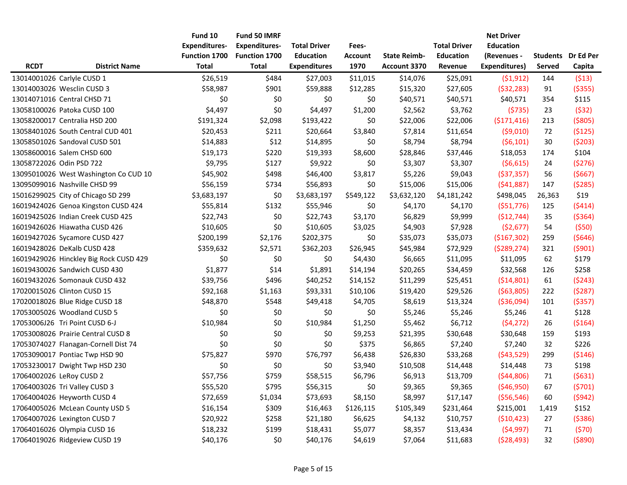|             |                                        | Fund 10              | Fund 50 IMRF         |                     |           |                     |                     | <b>Net Driver</b>    |               |                           |
|-------------|----------------------------------------|----------------------|----------------------|---------------------|-----------|---------------------|---------------------|----------------------|---------------|---------------------------|
|             |                                        | <b>Expenditures-</b> | <b>Expenditures-</b> | <b>Total Driver</b> | Fees-     |                     | <b>Total Driver</b> | <b>Education</b>     |               |                           |
|             |                                        | <b>Function 1700</b> | <b>Function 1700</b> | <b>Education</b>    | Account   | <b>State Reimb-</b> | <b>Education</b>    | (Revenues -          |               | <b>Students</b> Dr Ed Per |
| <b>RCDT</b> | <b>District Name</b>                   | Total                | <b>Total</b>         | <b>Expenditures</b> | 1970      | <b>Account 3370</b> | Revenue             | <b>Expenditures)</b> | <b>Served</b> | Capita                    |
|             | 13014001026 Carlyle CUSD 1             | \$26,519             | \$484                | \$27,003            | \$11,015  | \$14,076            | \$25,091            | (51, 912)            | 144           | (513)                     |
|             | 13014003026 Wesclin CUSD 3             | \$58,987             | \$901                | \$59,888            | \$12,285  | \$15,320            | \$27,605            | (532, 283)           | 91            | ( \$355)                  |
|             | 13014071016 Central CHSD 71            | \$0                  | \$0                  | \$0                 | \$0       | \$40,571            | \$40,571            | \$40,571             | 354           | \$115                     |
|             | 13058100026 Patoka CUSD 100            | \$4,497              | \$0                  | \$4,497             | \$1,200   | \$2,562             | \$3,762             | (5735)               | 23            | (532)                     |
|             | 13058200017 Centralia HSD 200          | \$191,324            | \$2,098              | \$193,422           | \$0       | \$22,006            | \$22,006            | (5171, 416)          | 213           | ( \$805)                  |
|             | 13058401026 South Central CUD 401      | \$20,453             | \$211                | \$20,664            | \$3,840   | \$7,814             | \$11,654            | ( \$9,010)           | 72            | (5125)                    |
|             | 13058501026 Sandoval CUSD 501          | \$14,883             | \$12                 | \$14,895            | \$0       | \$8,794             | \$8,794             | (56, 101)            | 30            | (5203)                    |
|             | 13058600016 Salem CHSD 600             | \$19,173             | \$220                | \$19,393            | \$8,600   | \$28,846            | \$37,446            | \$18,053             | 174           | \$104                     |
|             | 13058722026 Odin PSD 722               | \$9,795              | \$127                | \$9,922             | \$0       | \$3,307             | \$3,307             | (56, 615)            | 24            | (5276)                    |
|             | 13095010026 West Washington Co CUD 10  | \$45,902             | \$498                | \$46,400            | \$3,817   | \$5,226             | \$9,043             | ( \$37, 357)         | 56            | (5667)                    |
|             | 13095099016 Nashville CHSD 99          | \$56,159             | \$734                | \$56,893            | \$0       | \$15,006            | \$15,006            | (541,887)            | 147           | (5285)                    |
|             | 15016299025 City of Chicago SD 299     | \$3,683,197          | \$0                  | \$3,683,197         | \$549,122 | \$3,632,120         | \$4,181,242         | \$498,045            | 26,363        | \$19                      |
|             | 16019424026 Genoa Kingston CUSD 424    | \$55,814             | \$132                | \$55,946            | \$0       | \$4,170             | \$4,170             | ( \$51,776)          | 125           | (5414)                    |
|             | 16019425026 Indian Creek CUSD 425      | \$22,743             | \$0                  | \$22,743            | \$3,170   | \$6,829             | \$9,999             | (\$12,744)           | 35            | ( \$364)                  |
|             | 16019426026 Hiawatha CUSD 426          | \$10,605             | \$0                  | \$10,605            | \$3,025   | \$4,903             | \$7,928             | (52, 677)            | 54            | (550)                     |
|             | 16019427026 Sycamore CUSD 427          | \$200,199            | \$2,176              | \$202,375           | \$0       | \$35,073            | \$35,073            | ( \$167, 302)        | 259           | (5646)                    |
|             | 16019428026 DeKalb CUSD 428            | \$359,632            | \$2,571              | \$362,203           | \$26,945  | \$45,984            | \$72,929            | (5289, 274)          | 321           | (5901)                    |
|             | 16019429026 Hinckley Big Rock CUSD 429 | \$0                  | \$0                  | \$0                 | \$4,430   | \$6,665             | \$11,095            | \$11,095             | 62            | \$179                     |
|             | 16019430026 Sandwich CUSD 430          | \$1,877              | \$14                 | \$1,891             | \$14,194  | \$20,265            | \$34,459            | \$32,568             | 126           | \$258                     |
|             | 16019432026 Somonauk CUSD 432          | \$39,756             | \$496                | \$40,252            | \$14,152  | \$11,299            | \$25,451            | ( \$14, 801)         | 61            | (5243)                    |
|             | 17020015026 Clinton CUSD 15            | \$92,168             | \$1,163              | \$93,331            | \$10,106  | \$19,420            | \$29,526            | ( \$63, 805)         | 222           | (5287)                    |
|             | 17020018026 Blue Ridge CUSD 18         | \$48,870             | \$548                | \$49,418            | \$4,705   | \$8,619             | \$13,324            | ( \$36,094)          | 101           | (5357)                    |
|             | 17053005026 Woodland CUSD 5            | \$0                  | \$0                  | \$0                 | \$0       | \$5,246             | \$5,246             | \$5,246              | 41            | \$128                     |
|             | 17053006J26 Tri Point CUSD 6-J         | \$10,984             | \$0                  | \$10,984            | \$1,250   | \$5,462             | \$6,712             | (54, 272)            | 26            | (5164)                    |
|             | 17053008026 Prairie Central CUSD 8     | \$0                  | \$0                  | \$0                 | \$9,253   | \$21,395            | \$30,648            | \$30,648             | 159           | \$193                     |
|             | 17053074027 Flanagan-Cornell Dist 74   | \$0                  | \$0                  | \$0                 | \$375     | \$6,865             | \$7,240             | \$7,240              | 32            | \$226                     |
|             | 17053090017 Pontiac Twp HSD 90         | \$75,827             | \$970                | \$76,797            | \$6,438   | \$26,830            | \$33,268            | (543,529)            | 299           | ( \$146)                  |
|             | 17053230017 Dwight Twp HSD 230         | \$0                  | \$0                  | \$0                 | \$3,940   | \$10,508            | \$14,448            | \$14,448             | 73            | \$198                     |
|             | 17064002026 LeRoy CUSD 2               | \$57,756             | \$759                | \$58,515            | \$6,796   | \$6,913             | \$13,709            | (544,806)            | 71            | (5631)                    |
|             | 17064003026 Tri Valley CUSD 3          | \$55,520             | \$795                | \$56,315            | \$0       | \$9,365             | \$9,365             | (546,950)            | 67            | (5701)                    |
|             | 17064004026 Heyworth CUSD 4            | \$72,659             | \$1,034              | \$73,693            | \$8,150   | \$8,997             | \$17,147            | ( \$56, 546)         | 60            | (5942)                    |
|             | 17064005026 McLean County USD 5        | \$16,154             | \$309                | \$16,463            | \$126,115 | \$105,349           | \$231,464           | \$215,001            | 1,419         | \$152                     |
|             | 17064007026 Lexington CUSD 7           | \$20,922             | \$258                | \$21,180            | \$6,625   | \$4,132             | \$10,757            | (510, 423)           | 27            | ( \$386)                  |
|             | 17064016026 Olympia CUSD 16            | \$18,232             | \$199                | \$18,431            | \$5,077   | \$8,357             | \$13,434            | (54, 997)            | $71\,$        | (570)                     |
|             | 17064019026 Ridgeview CUSD 19          | \$40,176             | \$0                  | \$40,176            | \$4,619   | \$7,064             | \$11,683            | (528, 493)           | 32            | ( \$890)                  |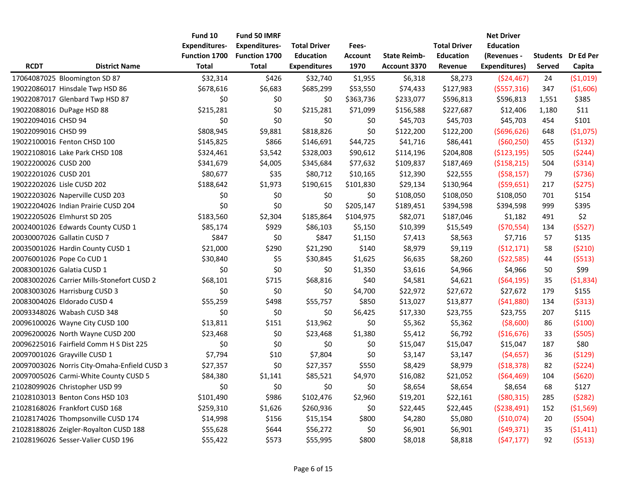|                      |                                              | Fund 10              | Fund 50 IMRF         |                     |                |                     |                     | <b>Net Driver</b>    |               |                           |
|----------------------|----------------------------------------------|----------------------|----------------------|---------------------|----------------|---------------------|---------------------|----------------------|---------------|---------------------------|
|                      |                                              | <b>Expenditures-</b> | <b>Expenditures-</b> | <b>Total Driver</b> | Fees-          |                     | <b>Total Driver</b> | <b>Education</b>     |               |                           |
|                      |                                              | <b>Function 1700</b> | <b>Function 1700</b> | <b>Education</b>    | <b>Account</b> | <b>State Reimb-</b> | <b>Education</b>    | (Revenues -          |               | <b>Students</b> Dr Ed Per |
| <b>RCDT</b>          | <b>District Name</b>                         | Total                | <b>Total</b>         | <b>Expenditures</b> | 1970           | <b>Account 3370</b> | Revenue             | <b>Expenditures)</b> | <b>Served</b> | Capita                    |
|                      | 17064087025 Bloomington SD 87                | \$32,314             | \$426                | \$32,740            | \$1,955        | \$6,318             | \$8,273             | (\$24,467)           | 24            | (51,019)                  |
|                      | 19022086017 Hinsdale Twp HSD 86              | \$678,616            | \$6,683              | \$685,299           | \$53,550       | \$74,433            | \$127,983           | ( \$557, 316)        | 347           | ( \$1,606)                |
|                      | 19022087017 Glenbard Twp HSD 87              | \$0                  | \$0                  | \$0                 | \$363,736      | \$233,077           | \$596,813           | \$596,813            | 1,551         | \$385                     |
|                      | 19022088016 DuPage HSD 88                    | \$215,281            | \$0                  | \$215,281           | \$71,099       | \$156,588           | \$227,687           | \$12,406             | 1,180         | \$11                      |
| 19022094016 CHSD 94  |                                              | \$0                  | \$0                  | \$0                 | \$0            | \$45,703            | \$45,703            | \$45,703             | 454           | \$101                     |
| 19022099016 CHSD 99  |                                              | \$808,945            | \$9,881              | \$818,826           | \$0            | \$122,200           | \$122,200           | (5696, 626)          | 648           | ( \$1,075)                |
|                      | 19022100016 Fenton CHSD 100                  | \$145,825            | \$866                | \$146,691           | \$44,725       | \$41,716            | \$86,441            | (560, 250)           | 455           | (5132)                    |
|                      | 19022108016 Lake Park CHSD 108               | \$324,461            | \$3,542              | \$328,003           | \$90,612       | \$114,196           | \$204,808           | ( \$123, 195)        | 505           | (5244)                    |
| 19022200026 CUSD 200 |                                              | \$341,679            | \$4,005              | \$345,684           | \$77,632       | \$109,837           | \$187,469           | ( \$158, 215)        | 504           | (5314)                    |
| 19022201026 CUSD 201 |                                              | \$80,677             | \$35                 | \$80,712            | \$10,165       | \$12,390            | \$22,555            | (558, 157)           | 79            | (5736)                    |
|                      | 19022202026 Lisle CUSD 202                   | \$188,642            | \$1,973              | \$190,615           | \$101,830      | \$29,134            | \$130,964           | ( \$59,651)          | 217           | (5275)                    |
|                      | 19022203026 Naperville CUSD 203              | \$0                  | \$0                  | \$0                 | \$0            | \$108,050           | \$108,050           | \$108,050            | 701           | \$154                     |
|                      | 19022204026 Indian Prairie CUSD 204          | \$0                  | \$0                  | \$0                 | \$205,147      | \$189,451           | \$394,598           | \$394,598            | 999           | \$395                     |
|                      | 19022205026 Elmhurst SD 205                  | \$183,560            | \$2,304              | \$185,864           | \$104,975      | \$82,071            | \$187,046           | \$1,182              | 491           | \$2                       |
|                      | 20024001026 Edwards County CUSD 1            | \$85,174             | \$929                | \$86,103            | \$5,150        | \$10,399            | \$15,549            | (570, 554)           | 134           | (5527)                    |
|                      | 20030007026 Gallatin CUSD 7                  | \$847                | \$0                  | \$847               | \$1,150        | \$7,413             | \$8,563             | \$7,716              | 57            | \$135                     |
|                      | 20035001026 Hardin County CUSD 1             | \$21,000             | \$290                | \$21,290            | \$140          | \$8,979             | \$9,119             | (\$12,171)           | 58            | (5210)                    |
|                      | 20076001026 Pope Co CUD 1                    | \$30,840             | \$5                  | \$30,845            | \$1,625        | \$6,635             | \$8,260             | (\$22,585)           | 44            | (5513)                    |
|                      | 20083001026 Galatia CUSD 1                   | \$0                  | \$0                  | \$0                 | \$1,350        | \$3,616             | \$4,966             | \$4,966              | 50            | \$99                      |
|                      | 20083002026 Carrier Mills-Stonefort CUSD 2   | \$68,101             | \$715                | \$68,816            | \$40           | \$4,581             | \$4,621             | (564, 195)           | 35            | (51,834)                  |
|                      | 20083003026 Harrisburg CUSD 3                | \$0                  | \$0                  | \$0                 | \$4,700        | \$22,972            | \$27,672            | \$27,672             | 179           | \$155                     |
|                      | 20083004026 Eldorado CUSD 4                  | \$55,259             | \$498                | \$55,757            | \$850          | \$13,027            | \$13,877            | (541,880)            | 134           | (5313)                    |
|                      | 20093348026 Wabash CUSD 348                  | \$0                  | \$0                  | \$0                 | \$6,425        | \$17,330            | \$23,755            | \$23,755             | 207           | \$115                     |
|                      | 20096100026 Wayne City CUSD 100              | \$13,811             | \$151                | \$13,962            | \$0            | \$5,362             | \$5,362             | ( \$8,600)           | 86            | ( \$100)                  |
|                      | 20096200026 North Wayne CUSD 200             | \$23,468             | \$0                  | \$23,468            | \$1,380        | \$5,412             | \$6,792             | ( \$16,676)          | 33            | (5505)                    |
|                      | 20096225016 Fairfield Comm H S Dist 225      | \$0                  | \$0                  | \$0                 | \$0            | \$15,047            | \$15,047            | \$15,047             | 187           | \$80                      |
|                      | 20097001026 Grayville CUSD 1                 | \$7,794              | \$10                 | \$7,804             | \$0            | \$3,147             | \$3,147             | (54, 657)            | 36            | (5129)                    |
|                      | 20097003026 Norris City-Omaha-Enfield CUSD 3 | \$27,357             | \$0                  | \$27,357            | \$550          | \$8,429             | \$8,979             | (518, 378)           | 82            | (5224)                    |
|                      | 20097005026 Carmi-White County CUSD 5        | \$84,380             | \$1,141              | \$85,521            | \$4,970        | \$16,082            | \$21,052            | (564, 469)           | 104           | (5620)                    |
|                      | 21028099026 Christopher USD 99               | \$0                  | \$0                  | \$0                 | \$0            | \$8,654             | \$8,654             | \$8,654              | 68            | \$127                     |
|                      | 21028103013 Benton Cons HSD 103              | \$101,490            | \$986                | \$102,476           | \$2,960        | \$19,201            | \$22,161            | ( \$80, 315)         | 285           | (5282)                    |
|                      | 21028168026 Frankfort CUSD 168               | \$259,310            | \$1,626              | \$260,936           | \$0            | \$22,445            | \$22,445            | (5238, 491)          | 152           | ( \$1,569)                |
|                      | 21028174026 Thompsonville CUSD 174           | \$14,998             | \$156                | \$15,154            | \$800          | \$4,280             | \$5,080             | ( \$10,074)          | 20            | (5504)                    |
|                      | 21028188026 Zeigler-Royalton CUSD 188        | \$55,628             | \$644                | \$56,272            | \$0            | \$6,901             | \$6,901             | (549, 371)           | 35            | (51, 411)                 |
|                      | 21028196026 Sesser-Valier CUSD 196           | \$55,422             | \$573                | \$55,995            | \$800          | \$8,018             | \$8,818             | (547, 177)           | 92            | (5513)                    |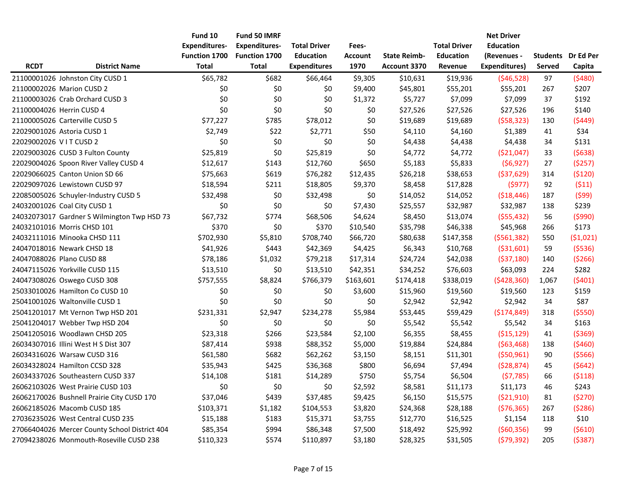|                       |                                               | Fund 10              | Fund 50 IMRF         |                     |                |                     |                     | <b>Net Driver</b>    |        |                    |
|-----------------------|-----------------------------------------------|----------------------|----------------------|---------------------|----------------|---------------------|---------------------|----------------------|--------|--------------------|
|                       |                                               | <b>Expenditures-</b> | <b>Expenditures-</b> | <b>Total Driver</b> | Fees-          |                     | <b>Total Driver</b> | <b>Education</b>     |        |                    |
|                       |                                               | <b>Function 1700</b> | <b>Function 1700</b> | <b>Education</b>    | <b>Account</b> | <b>State Reimb-</b> | <b>Education</b>    | (Revenues -          |        | Students Dr Ed Per |
| <b>RCDT</b>           | <b>District Name</b>                          | <b>Total</b>         | <b>Total</b>         | <b>Expenditures</b> | 1970           | Account 3370        | Revenue             | <b>Expenditures)</b> | Served | Capita             |
|                       | 21100001026 Johnston City CUSD 1              | \$65,782             | \$682                | \$66,464            | \$9,305        | \$10,631            | \$19,936            | (546, 528)           | 97     | (5480)             |
|                       | 21100002026 Marion CUSD 2                     | \$0                  | \$0                  | \$0                 | \$9,400        | \$45,801            | \$55,201            | \$55,201             | 267    | \$207              |
|                       | 21100003026 Crab Orchard CUSD 3               | \$0                  | \$0                  | \$0                 | \$1,372        | \$5,727             | \$7,099             | \$7,099              | 37     | \$192              |
|                       | 21100004026 Herrin CUSD 4                     | \$0                  | \$0                  | \$0                 | \$0            | \$27,526            | \$27,526            | \$27,526             | 196    | \$140              |
|                       | 21100005026 Carterville CUSD 5                | \$77,227             | \$785                | \$78,012            | \$0            | \$19,689            | \$19,689            | (558, 323)           | 130    | (5449)             |
|                       | 22029001026 Astoria CUSD 1                    | \$2,749              | \$22                 | \$2,771             | \$50           | \$4,110             | \$4,160             | \$1,389              | 41     | \$34               |
| 22029002026 VITCUSD 2 |                                               | \$0                  | \$0                  | \$0                 | \$0            | \$4,438             | \$4,438             | \$4,438              | 34     | \$131              |
|                       | 22029003026 CUSD 3 Fulton County              | \$25,819             | \$0                  | \$25,819            | \$0            | \$4,772             | \$4,772             | ( \$21,047)          | 33     | (5638)             |
|                       | 22029004026 Spoon River Valley CUSD 4         | \$12,617             | \$143                | \$12,760            | \$650          | \$5,183             | \$5,833             | (56, 927)            | 27     | (5257)             |
|                       | 22029066025 Canton Union SD 66                | \$75,663             | \$619                | \$76,282            | \$12,435       | \$26,218            | \$38,653            | ( \$37, 629)         | 314    | (5120)             |
|                       | 22029097026 Lewistown CUSD 97                 | \$18,594             | \$211                | \$18,805            | \$9,370        | \$8,458             | \$17,828            | (5977)               | 92     | (511)              |
|                       | 22085005026 Schuyler-Industry CUSD 5          | \$32,498             | \$0                  | \$32,498            | \$0            | \$14,052            | \$14,052            | ( \$18,446)          | 187    | (599)              |
|                       | 24032001026 Coal City CUSD 1                  | \$0                  | \$0                  | \$0                 | \$7,430        | \$25,557            | \$32,987            | \$32,987             | 138    | \$239              |
|                       | 24032073017 Gardner S Wilmington Twp HSD 73   | \$67,732             | \$774                | \$68,506            | \$4,624        | \$8,450             | \$13,074            | (555, 432)           | 56     | (5990)             |
|                       | 24032101016 Morris CHSD 101                   | \$370                | \$0                  | \$370               | \$10,540       | \$35,798            | \$46,338            | \$45,968             | 266    | \$173              |
|                       | 24032111016 Minooka CHSD 111                  | \$702,930            | \$5,810              | \$708,740           | \$66,720       | \$80,638            | \$147,358           | (5561, 382)          | 550    | (51,021)           |
|                       | 24047018016 Newark CHSD 18                    | \$41,926             | \$443                | \$42,369            | \$4,425        | \$6,343             | \$10,768            | ( \$31,601)          | 59     | (5536)             |
|                       | 24047088026 Plano CUSD 88                     | \$78,186             | \$1,032              | \$79,218            | \$17,314       | \$24,724            | \$42,038            | (537, 180)           | 140    | (5266)             |
|                       | 24047115026 Yorkville CUSD 115                | \$13,510             | \$0                  | \$13,510            | \$42,351       | \$34,252            | \$76,603            | \$63,093             | 224    | \$282              |
|                       | 24047308026 Oswego CUSD 308                   | \$757,555            | \$8,824              | \$766,379           | \$163,601      | \$174,418           | \$338,019           | (5428, 360)          | 1,067  | (5401)             |
|                       | 25033010026 Hamilton Co CUSD 10               | \$0                  | \$0                  | \$0                 | \$3,600        | \$15,960            | \$19,560            | \$19,560             | 123    | \$159              |
|                       | 25041001026 Waltonville CUSD 1                | \$0                  | \$0                  | \$0                 | \$0            | \$2,942             | \$2,942             | \$2,942              | 34     | \$87               |
|                       | 25041201017 Mt Vernon Twp HSD 201             | \$231,331            | \$2,947              | \$234,278           | \$5,984        | \$53,445            | \$59,429            | ( \$174, 849)        | 318    | ( \$550)           |
|                       | 25041204017 Webber Twp HSD 204                | \$0                  | \$0                  | \$0                 | \$0            | \$5,542             | \$5,542             | \$5,542              | 34     | \$163              |
|                       | 25041205016 Woodlawn CHSD 205                 | \$23,318             | \$266                | \$23,584            | \$2,100        | \$6,355             | \$8,455             | ( \$15, 129)         | 41     | ( \$369)           |
|                       | 26034307016 Illini West H S Dist 307          | \$87,414             | \$938                | \$88,352            | \$5,000        | \$19,884            | \$24,884            | (563, 468)           | 138    | (5460)             |
|                       | 26034316026 Warsaw CUSD 316                   | \$61,580             | \$682                | \$62,262            | \$3,150        | \$8,151             | \$11,301            | (550, 961)           | 90     | (5566)             |
|                       | 26034328024 Hamilton CCSD 328                 | \$35,943             | \$425                | \$36,368            | \$800          | \$6,694             | \$7,494             | (528, 874)           | 45     | (5642)             |
|                       | 26034337026 Southeastern CUSD 337             | \$14,108             | \$181                | \$14,289            | \$750          | \$5,754             | \$6,504             | (57, 785)            | 66     | (5118)             |
|                       | 26062103026 West Prairie CUSD 103             | \$0                  | \$0                  | \$0                 | \$2,592        | \$8,581             | \$11,173            | \$11,173             | 46     | \$243              |
|                       | 26062170026 Bushnell Prairie City CUSD 170    | \$37,046             | \$439                | \$37,485            | \$9,425        | \$6,150             | \$15,575            | (521,910)            | 81     | (5270)             |
|                       | 26062185026 Macomb CUSD 185                   | \$103,371            | \$1,182              | \$104,553           | \$3,820        | \$24,368            | \$28,188            | (576, 365)           | 267    | (5286)             |
|                       | 27036235026 West Central CUSD 235             | \$15,188             | \$183                | \$15,371            | \$3,755        | \$12,770            | \$16,525            | \$1,154              | 118    | \$10               |
|                       | 27066404026 Mercer County School District 404 | \$85,354             | \$994                | \$86,348            | \$7,500        | \$18,492            | \$25,992            | (560, 356)           | 99     | (5610)             |
|                       | 27094238026 Monmouth-Roseville CUSD 238       | \$110,323            | \$574                | \$110,897           | \$3,180        | \$28,325            | \$31,505            | (579, 392)           | 205    | (5387)             |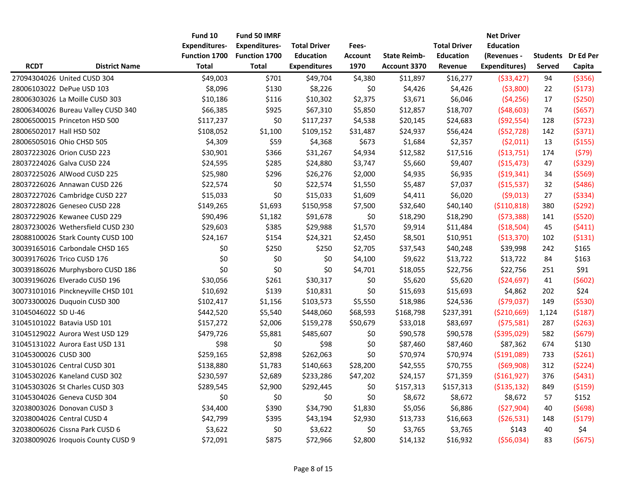|                      |                                    | Fund 10              | <b>Fund 50 IMRF</b>  |                     |                |                     |                     | <b>Net Driver</b>    |               |                           |
|----------------------|------------------------------------|----------------------|----------------------|---------------------|----------------|---------------------|---------------------|----------------------|---------------|---------------------------|
|                      |                                    | <b>Expenditures-</b> | <b>Expenditures-</b> | <b>Total Driver</b> | Fees-          |                     | <b>Total Driver</b> | <b>Education</b>     |               |                           |
|                      |                                    | <b>Function 1700</b> | <b>Function 1700</b> | <b>Education</b>    | <b>Account</b> | <b>State Reimb-</b> | <b>Education</b>    | (Revenues -          |               | <b>Students</b> Dr Ed Per |
| <b>RCDT</b>          | <b>District Name</b>               | <b>Total</b>         | <b>Total</b>         | <b>Expenditures</b> | 1970           | <b>Account 3370</b> | Revenue             | <b>Expenditures)</b> | <b>Served</b> | Capita                    |
|                      | 27094304026 United CUSD 304        | \$49,003             | \$701                | \$49,704            | \$4,380        | \$11,897            | \$16,277            | ( \$33,427)          | 94            | ( \$356)                  |
|                      | 28006103022 DePue USD 103          | \$8,096              | \$130                | \$8,226             | \$0            | \$4,426             | \$4,426             | ( \$3,800)           | 22            | (5173)                    |
|                      | 28006303026 La Moille CUSD 303     | \$10,186             | \$116                | \$10,302            | \$2,375        | \$3,671             | \$6,046             | (54, 256)            | 17            | ( \$250)                  |
|                      | 28006340026 Bureau Valley CUSD 340 | \$66,385             | \$925                | \$67,310            | \$5,850        | \$12,857            | \$18,707            | (548, 603)           | 74            | (5657)                    |
|                      | 28006500015 Princeton HSD 500      | \$117,237            | \$0                  | \$117,237           | \$4,538        | \$20,145            | \$24,683            | ( \$92, 554)         | 128           | (5723)                    |
|                      | 28006502017 Hall HSD 502           | \$108,052            | \$1,100              | \$109,152           | \$31,487       | \$24,937            | \$56,424            | (552, 728)           | 142           | (5371)                    |
|                      | 28006505016 Ohio CHSD 505          | \$4,309              | \$59                 | \$4,368             | \$673          | \$1,684             | \$2,357             | (52,011)             | 13            | ( \$155)                  |
|                      | 28037223026 Orion CUSD 223         | \$30,901             | \$366                | \$31,267            | \$4,934        | \$12,582            | \$17,516            | (\$13,751)           | 174           | (579)                     |
|                      | 28037224026 Galva CUSD 224         | \$24,595             | \$285                | \$24,880            | \$3,747        | \$5,660             | \$9,407             | (\$15,473)           | 47            | (5329)                    |
|                      | 28037225026 AlWood CUSD 225        | \$25,980             | \$296                | \$26,276            | \$2,000        | \$4,935             | \$6,935             | ( \$19, 341)         | 34            | (5569)                    |
|                      | 28037226026 Annawan CUSD 226       | \$22,574             | \$0                  | \$22,574            | \$1,550        | \$5,487             | \$7,037             | (\$15,537)           | 32            | (5486)                    |
|                      | 28037227026 Cambridge CUSD 227     | \$15,033             | \$0                  | \$15,033            | \$1,609        | \$4,411             | \$6,020             | (59,013)             | 27            | ( \$334)                  |
|                      | 28037228026 Geneseo CUSD 228       | \$149,265            | \$1,693              | \$150,958           | \$7,500        | \$32,640            | \$40,140            | ( \$110, 818)        | 380           | (5292)                    |
|                      | 28037229026 Kewanee CUSD 229       | \$90,496             | \$1,182              | \$91,678            | \$0            | \$18,290            | \$18,290            | (573, 388)           | 141           | (5520)                    |
|                      | 28037230026 Wethersfield CUSD 230  | \$29,603             | \$385                | \$29,988            | \$1,570        | \$9,914             | \$11,484            | (\$18,504)           | 45            | (5411)                    |
|                      | 28088100026 Stark County CUSD 100  | \$24,167             | \$154                | \$24,321            | \$2,450        | \$8,501             | \$10,951            | ( \$13, 370)         | 102           | (5131)                    |
|                      | 30039165016 Carbondale CHSD 165    | \$0                  | \$250                | \$250               | \$2,705        | \$37,543            | \$40,248            | \$39,998             | 242           | \$165                     |
|                      | 30039176026 Trico CUSD 176         | \$0                  | \$0                  | \$0                 | \$4,100        | \$9,622             | \$13,722            | \$13,722             | 84            | \$163                     |
|                      | 30039186026 Murphysboro CUSD 186   | \$0                  | \$0                  | \$0                 | \$4,701        | \$18,055            | \$22,756            | \$22,756             | 251           | \$91                      |
|                      | 30039196026 Elverado CUSD 196      | \$30,056             | \$261                | \$30,317            | \$0            | \$5,620             | \$5,620             | (524, 697)           | 41            | (5602)                    |
|                      | 30073101016 Pinckneyville CHSD 101 | \$10,692             | \$139                | \$10,831            | \$0            | \$15,693            | \$15,693            | \$4,862              | 202           | \$24                      |
|                      | 30073300026 Duquoin CUSD 300       | \$102,417            | \$1,156              | \$103,573           | \$5,550        | \$18,986            | \$24,536            | (579,037)            | 149           | ( \$530)                  |
| 31045046022 SD U-46  |                                    | \$442,520            | \$5,540              | \$448,060           | \$68,593       | \$168,798           | \$237,391           | ( \$210,669)         | 1,124         | (5187)                    |
|                      | 31045101022 Batavia USD 101        | \$157,272            | \$2,006              | \$159,278           | \$50,679       | \$33,018            | \$83,697            | (575,581)            | 287           | (5263)                    |
|                      | 31045129022 Aurora West USD 129    | \$479,726            | \$5,881              | \$485,607           | \$0            | \$90,578            | \$90,578            | ( \$395,029)         | 582           | (5679)                    |
|                      | 31045131022 Aurora East USD 131    | \$98                 | \$0                  | \$98                | \$0            | \$87,460            | \$87,460            | \$87,362             | 674           | \$130                     |
| 31045300026 CUSD 300 |                                    | \$259,165            | \$2,898              | \$262,063           | \$0            | \$70,974            | \$70,974            | ( \$191,089)         | 733           | (5261)                    |
|                      | 31045301026 Central CUSD 301       | \$138,880            | \$1,783              | \$140,663           | \$28,200       | \$42,555            | \$70,755            | (569,908)            | 312           | (5224)                    |
|                      | 31045302026 Kaneland CUSD 302      | \$230,597            | \$2,689              | \$233,286           | \$47,202       | \$24,157            | \$71,359            | ( \$161, 927)        | 376           | (5431)                    |
|                      | 31045303026 St Charles CUSD 303    | \$289,545            | \$2,900              | \$292,445           | \$0            | \$157,313           | \$157,313           | ( \$135, 132)        | 849           | (5159)                    |
|                      | 31045304026 Geneva CUSD 304        | \$0                  | \$0                  | \$0                 | \$0            | \$8,672             | \$8,672             | \$8,672              | 57            | \$152                     |
|                      | 32038003026 Donovan CUSD 3         | \$34,400             | \$390                | \$34,790            | \$1,830        | \$5,056             | \$6,886             | (\$27,904)           | 40            | (5698)                    |
|                      | 32038004026 Central CUSD 4         | \$42,799             | \$395                | \$43,194            | \$2,930        | \$13,733            | \$16,663            | (526, 531)           | 148           | (5179)                    |
|                      | 32038006026 Cissna Park CUSD 6     | \$3,622              | \$0                  | \$3,622             | \$0            | \$3,765             | \$3,765             | \$143                | 40            | \$4                       |
|                      | 32038009026 Iroquois County CUSD 9 | \$72,091             | \$875                | \$72,966            | \$2,800        | \$14,132            | \$16,932            | ( \$56,034)          | 83            | (5675)                    |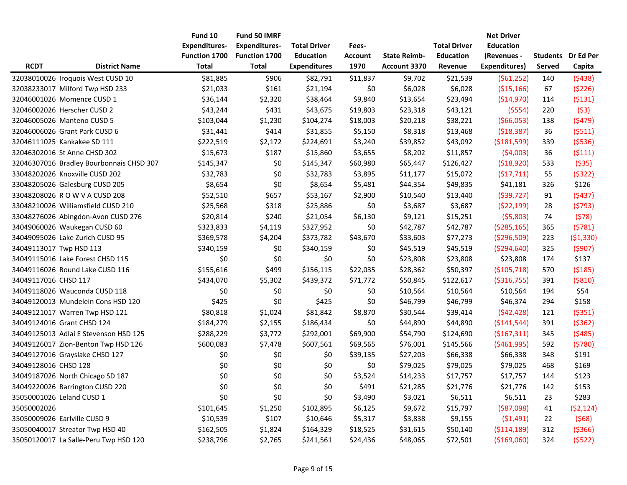|                      |                                          | Fund 10              | Fund 50 IMRF         |                     |                |                     |                     | <b>Net Driver</b>    |               |                           |
|----------------------|------------------------------------------|----------------------|----------------------|---------------------|----------------|---------------------|---------------------|----------------------|---------------|---------------------------|
|                      |                                          | <b>Expenditures-</b> | <b>Expenditures-</b> | <b>Total Driver</b> | Fees-          |                     | <b>Total Driver</b> | <b>Education</b>     |               |                           |
|                      |                                          | <b>Function 1700</b> | <b>Function 1700</b> | <b>Education</b>    | <b>Account</b> | <b>State Reimb-</b> | <b>Education</b>    | (Revenues -          |               | <b>Students</b> Dr Ed Per |
| <b>RCDT</b>          | <b>District Name</b>                     | <b>Total</b>         | <b>Total</b>         | <b>Expenditures</b> | 1970           | <b>Account 3370</b> | Revenue             | <b>Expenditures)</b> | <b>Served</b> | Capita                    |
|                      | 32038010026 Iroquois West CUSD 10        | \$81,885             | \$906                | \$82,791            | \$11,837       | \$9,702             | \$21,539            | (561, 252)           | 140           | (5438)                    |
|                      | 32038233017 Milford Twp HSD 233          | \$21,033             | \$161                | \$21,194            | \$0            | \$6,028             | \$6,028             | (\$15,166)           | 67            | (5226)                    |
|                      | 32046001026 Momence CUSD 1               | \$36,144             | \$2,320              | \$38,464            | \$9,840        | \$13,654            | \$23,494            | (\$14,970)           | 114           | (5131)                    |
|                      | 32046002026 Herscher CUSD 2              | \$43,244             | \$431                | \$43,675            | \$19,803       | \$23,318            | \$43,121            | ( \$554)             | 220           | (53)                      |
|                      | 32046005026 Manteno CUSD 5               | \$103,044            | \$1,230              | \$104,274           | \$18,003       | \$20,218            | \$38,221            | (566,053)            | 138           | (5479)                    |
|                      | 32046006026 Grant Park CUSD 6            | \$31,441             | \$414                | \$31,855            | \$5,150        | \$8,318             | \$13,468            | (518, 387)           | 36            | (5511)                    |
|                      | 32046111025 Kankakee SD 111              | \$222,519            | \$2,172              | \$224,691           | \$3,240        | \$39,852            | \$43,092            | ( \$181,599)         | 339           | (5536)                    |
|                      | 32046302016 St Anne CHSD 302             | \$15,673             | \$187                | \$15,860            | \$3,655        | \$8,202             | \$11,857            | (54,003)             | 36            | (5111)                    |
|                      | 32046307016 Bradley Bourbonnais CHSD 307 | \$145,347            | \$0                  | \$145,347           | \$60,980       | \$65,447            | \$126,427           | (518,920)            | 533           | (535)                     |
|                      | 33048202026 Knoxville CUSD 202           | \$32,783             | \$0                  | \$32,783            | \$3,895        | \$11,177            | \$15,072            | (517, 711)           | 55            | (5322)                    |
|                      | 33048205026 Galesburg CUSD 205           | \$8,654              | \$0                  | \$8,654             | \$5,481        | \$44,354            | \$49,835            | \$41,181             | 326           | \$126                     |
|                      | 33048208026 R O W V A CUSD 208           | \$52,510             | \$657                | \$53,167            | \$2,900        | \$10,540            | \$13,440            | (539, 727)           | 91            | (5437)                    |
|                      | 33048210026 Williamsfield CUSD 210       | \$25,568             | \$318                | \$25,886            | \$0            | \$3,687             | \$3,687             | (522, 199)           | 28            | (5793)                    |
|                      | 33048276026 Abingdon-Avon CUSD 276       | \$20,814             | \$240                | \$21,054            | \$6,130        | \$9,121             | \$15,251            | (55,803)             | 74            | (578)                     |
|                      | 34049060026 Waukegan CUSD 60             | \$323,833            | \$4,119              | \$327,952           | \$0            | \$42,787            | \$42,787            | (5285, 165)          | 365           | (5781)                    |
|                      | 34049095026 Lake Zurich CUSD 95          | \$369,578            | \$4,204              | \$373,782           | \$43,670       | \$33,603            | \$77,273            | ( \$296, 509)        | 223           | ( \$1,330)                |
|                      | 34049113017 Twp HSD 113                  | \$340,159            | \$0                  | \$340,159           | \$0            | \$45,519            | \$45,519            | ( \$294, 640)        | 325           | (5907)                    |
|                      | 34049115016 Lake Forest CHSD 115         | \$0                  | \$0                  | \$0                 | \$0            | \$23,808            | \$23,808            | \$23,808             | 174           | \$137                     |
|                      | 34049116026 Round Lake CUSD 116          | \$155,616            | \$499                | \$156,115           | \$22,035       | \$28,362            | \$50,397            | ( \$105, 718)        | 570           | (5185)                    |
| 34049117016 CHSD 117 |                                          | \$434,070            | \$5,302              | \$439,372           | \$71,772       | \$50,845            | \$122,617           | ( \$316, 755)        | 391           | ( \$810)                  |
|                      | 34049118026 Wauconda CUSD 118            | \$0                  | \$0                  | \$0                 | \$0            | \$10,564            | \$10,564            | \$10,564             | 194           | \$54                      |
|                      | 34049120013 Mundelein Cons HSD 120       | \$425                | \$0                  | \$425               | \$0            | \$46,799            | \$46,799            | \$46,374             | 294           | \$158                     |
|                      | 34049121017 Warren Twp HSD 121           | \$80,818             | \$1,024              | \$81,842            | \$8,870        | \$30,544            | \$39,414            | (542, 428)           | 121           | ( \$351)                  |
|                      | 34049124016 Grant CHSD 124               | \$184,279            | \$2,155              | \$186,434           | \$0            | \$44,890            | \$44,890            | (5141, 544)          | 391           | ( \$362)                  |
|                      | 34049125013 Adlai E Stevenson HSD 125    | \$288,229            | \$3,772              | \$292,001           | \$69,900       | \$54,790            | \$124,690           | ( \$167, 311)        | 345           | (5485)                    |
|                      | 34049126017 Zion-Benton Twp HSD 126      | \$600,083            | \$7,478              | \$607,561           | \$69,565       | \$76,001            | \$145,566           | ( \$461, 995)        | 592           | (5780)                    |
|                      | 34049127016 Grayslake CHSD 127           | \$0                  | \$0                  | \$0                 | \$39,135       | \$27,203            | \$66,338            | \$66,338             | 348           | \$191                     |
| 34049128016 CHSD 128 |                                          | \$0                  | \$0                  | \$0                 | \$0            | \$79,025            | \$79,025            | \$79,025             | 468           | \$169                     |
|                      | 34049187026 North Chicago SD 187         | \$0                  | \$0                  | \$0                 | \$3,524        | \$14,233            | \$17,757            | \$17,757             | 144           | \$123                     |
|                      | 34049220026 Barrington CUSD 220          | \$0                  | \$0                  | \$0                 | \$491          | \$21,285            | \$21,776            | \$21,776             | 142           | \$153                     |
|                      | 35050001026 Leland CUSD 1                | \$0                  | \$0                  | \$0                 | \$3,490        | \$3,021             | \$6,511             | \$6,511              | 23            | \$283                     |
| 35050002026          |                                          | \$101,645            | \$1,250              | \$102,895           | \$6,125        | \$9,672             | \$15,797            | ( \$87,098)          | 41            | (52, 124)                 |
|                      | 35050009026 Earlville CUSD 9             | \$10,539             | \$107                | \$10,646            | \$5,317        | \$3,838             | \$9,155             | (51, 491)            | 22            | (568)                     |
|                      | 35050040017 Streator Twp HSD 40          | \$162,505            | \$1,824              | \$164,329           | \$18,525       | \$31,615            | \$50,140            | ( \$114, 189)        | 312           | (5366)                    |
|                      | 35050120017 La Salle-Peru Twp HSD 120    | \$238,796            | \$2,765              | \$241,561           | \$24,436       | \$48,065            | \$72,501            | ( \$169,060)         | 324           | (5522)                    |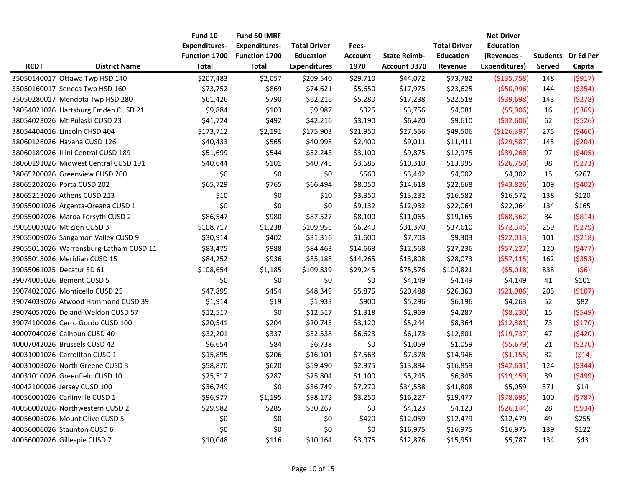|             |                                        | Fund 10              | Fund 50 IMRF         |                     |                |                     |                     | <b>Net Driver</b>    |               |                           |
|-------------|----------------------------------------|----------------------|----------------------|---------------------|----------------|---------------------|---------------------|----------------------|---------------|---------------------------|
|             |                                        | <b>Expenditures-</b> | <b>Expenditures-</b> | <b>Total Driver</b> | Fees-          |                     | <b>Total Driver</b> | <b>Education</b>     |               |                           |
|             |                                        | <b>Function 1700</b> | <b>Function 1700</b> | <b>Education</b>    | <b>Account</b> | <b>State Reimb-</b> | <b>Education</b>    | (Revenues -          |               | <b>Students</b> Dr Ed Per |
| <b>RCDT</b> | <b>District Name</b>                   | Total                | <b>Total</b>         | <b>Expenditures</b> | 1970           | <b>Account 3370</b> | Revenue             | <b>Expenditures)</b> | <b>Served</b> | Capita                    |
|             | 35050140017 Ottawa Twp HSD 140         | \$207,483            | \$2,057              | \$209,540           | \$29,710       | \$44,072            | \$73,782            | (\$135,758)          | 148           | (5917)                    |
|             | 35050160017 Seneca Twp HSD 160         | \$73,752             | \$869                | \$74,621            | \$5,650        | \$17,975            | \$23,625            | ( \$50,996)          | 144           | ( \$354)                  |
|             | 35050280017 Mendota Twp HSD 280        | \$61,426             | \$790                | \$62,216            | \$5,280        | \$17,238            | \$22,518            | ( \$39,698)          | 143           | (5278)                    |
|             | 38054021026 Hartsburg Emden CUSD 21    | \$9,884              | \$103                | \$9,987             | \$325          | \$3,756             | \$4,081             | (55,906)             | 16            | ( \$369)                  |
|             | 38054023026 Mt Pulaski CUSD 23         | \$41,724             | \$492                | \$42,216            | \$3,190        | \$6,420             | \$9,610             | ( \$32,606)          | 62            | (5526)                    |
|             | 38054404016 Lincoln CHSD 404           | \$173,712            | \$2,191              | \$175,903           | \$21,950       | \$27,556            | \$49,506            | (\$126,397)          | 275           | (5460)                    |
|             | 38060126026 Havana CUSD 126            | \$40,433             | \$565                | \$40,998            | \$2,400        | \$9,011             | \$11,411            | (529, 587)           | 145           | (5204)                    |
|             | 38060189026 Illini Central CUSD 189    | \$51,699             | \$544                | \$52,243            | \$3,100        | \$9,875             | \$12,975            | ( \$39, 268)         | 97            | (5405)                    |
|             | 38060191026 Midwest Central CUSD 191   | \$40,644             | \$101                | \$40,745            | \$3,685        | \$10,310            | \$13,995            | (\$26,750)           | 98            | (5273)                    |
|             | 38065200026 Greenview CUSD 200         | \$0                  | \$0                  | \$0                 | \$560          | \$3,442             | \$4,002             | \$4,002              | 15            | \$267                     |
|             | 38065202026 Porta CUSD 202             | \$65,729             | \$765                | \$66,494            | \$8,050        | \$14,618            | \$22,668            | (543,826)            | 109           | (5402)                    |
|             | 38065213026 Athens CUSD 213            | \$10                 | \$0                  | \$10                | \$3,350        | \$13,232            | \$16,582            | \$16,572             | 138           | \$120                     |
|             | 39055001026 Argenta-Oreana CUSD 1      | \$0                  | \$0                  | \$0                 | \$9,132        | \$12,932            | \$22,064            | \$22,064             | 134           | \$165                     |
|             | 39055002026 Maroa Forsyth CUSD 2       | \$86,547             | \$980                | \$87,527            | \$8,100        | \$11,065            | \$19,165            | (568, 362)           | 84            | ( \$814)                  |
|             | 39055003026 Mt Zion CUSD 3             | \$108,717            | \$1,238              | \$109,955           | \$6,240        | \$31,370            | \$37,610            | (572, 345)           | 259           | (5279)                    |
|             | 39055009026 Sangamon Valley CUSD 9     | \$30,914             | \$402                | \$31,316            | \$1,600        | \$7,703             | \$9,303             | (522,013)            | 101           | (5218)                    |
|             | 39055011026 Warrensburg-Latham CUSD 11 | \$83,475             | \$988                | \$84,463            | \$14,668       | \$12,568            | \$27,236            | (557, 227)           | 120           | (5477)                    |
|             | 39055015026 Meridian CUSD 15           | \$84,252             | \$936                | \$85,188            | \$14,265       | \$13,808            | \$28,073            | (557, 115)           | 162           | ( \$353)                  |
|             | 39055061025 Decatur SD 61              | \$108,654            | \$1,185              | \$109,839           | \$29,245       | \$75,576            | \$104,821           | (55,018)             | 838           | (56)                      |
|             | 39074005026 Bement CUSD 5              | \$0                  | \$0                  | \$0                 | \$0            | \$4,149             | \$4,149             | \$4,149              | 41            | \$101                     |
|             | 39074025026 Monticello CUSD 25         | \$47,895             | \$454                | \$48,349            | \$5,875        | \$20,488            | \$26,363            | (521,986)            | 205           | (5107)                    |
|             | 39074039026 Atwood Hammond CUSD 39     | \$1,914              | \$19                 | \$1,933             | \$900          | \$5,296             | \$6,196             | \$4,263              | 52            | \$82                      |
|             | 39074057026 Deland-Weldon CUSD 57      | \$12,517             | \$0                  | \$12,517            | \$1,318        | \$2,969             | \$4,287             | (58, 230)            | 15            | (5549)                    |
|             | 39074100026 Cerro Gordo CUSD 100       | \$20,541             | \$204                | \$20,745            | \$3,120        | \$5,244             | \$8,364             | (512, 381)           | 73            | (5170)                    |
|             | 40007040026 Calhoun CUSD 40            | \$32,201             | \$337                | \$32,538            | \$6,628        | \$6,173             | \$12,801            | (\$19,737)           | 47            | (5420)                    |
|             | 40007042026 Brussels CUSD 42           | \$6,654              | \$84                 | \$6,738             | \$0            | \$1,059             | \$1,059             | (55, 679)            | 21            | (5270)                    |
|             | 40031001026 Carrollton CUSD 1          | \$15,895             | \$206                | \$16,101            | \$7,568        | \$7,378             | \$14,946            | (51, 155)            | 82            | (514)                     |
|             | 40031003026 North Greene CUSD 3        | \$58,870             | \$620                | \$59,490            | \$2,975        | \$13,884            | \$16,859            | (542, 631)           | 124           | (5344)                    |
|             | 40031010026 Greenfield CUSD 10         | \$25,517             | \$287                | \$25,804            | \$1,100        | \$5,245             | \$6,345             | ( \$19,459)          | 39            | (5499)                    |
|             | 40042100026 Jersey CUSD 100            | \$36,749             | \$0                  | \$36,749            | \$7,270        | \$34,538            | \$41,808            | \$5,059              | 371           | \$14                      |
|             | 40056001026 Carlinville CUSD 1         | \$96,977             | \$1,195              | \$98,172            | \$3,250        | \$16,227            | \$19,477            | (578, 695)           | 100           | (5787)                    |
|             | 40056002026 Northwestern CUSD 2        | \$29,982             | \$285                | \$30,267            | \$0            | \$4,123             | \$4,123             | (526, 144)           | 28            | (5934)                    |
|             | 40056005026 Mount Olive CUSD 5         | \$0                  | \$0                  | \$0                 | \$420          | \$12,059            | \$12,479            | \$12,479             | 49            | \$255                     |
|             | 40056006026 Staunton CUSD 6            | \$0                  | \$0                  | \$0                 | \$0            | \$16,975            | \$16,975            | \$16,975             | 139           | \$122                     |
|             | 40056007026 Gillespie CUSD 7           | \$10,048             | \$116                | \$10,164            | \$3,075        | \$12,876            | \$15,951            | \$5,787              | 134           | \$43                      |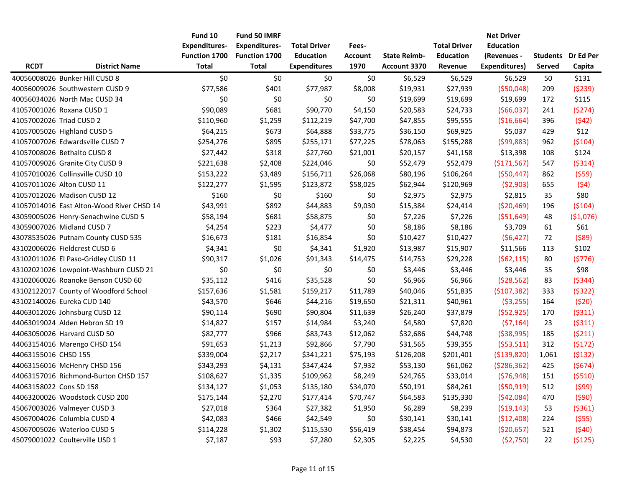|                         |                                           | Fund 10              | Fund 50 IMRF         |                     |                |                     |                     | <b>Net Driver</b>    |               |                           |
|-------------------------|-------------------------------------------|----------------------|----------------------|---------------------|----------------|---------------------|---------------------|----------------------|---------------|---------------------------|
|                         |                                           | <b>Expenditures-</b> | <b>Expenditures-</b> | <b>Total Driver</b> | Fees-          |                     | <b>Total Driver</b> | <b>Education</b>     |               |                           |
|                         |                                           | <b>Function 1700</b> | <b>Function 1700</b> | <b>Education</b>    | <b>Account</b> | <b>State Reimb-</b> | <b>Education</b>    | (Revenues -          |               | <b>Students</b> Dr Ed Per |
| <b>RCDT</b>             | <b>District Name</b>                      | <b>Total</b>         | <b>Total</b>         | <b>Expenditures</b> | 1970           | <b>Account 3370</b> | Revenue             | <b>Expenditures)</b> | <b>Served</b> | Capita                    |
|                         | 40056008026 Bunker Hill CUSD 8            | \$0                  | \$0                  | \$0                 | \$0            | \$6,529             | \$6,529             | \$6,529              | 50            | \$131                     |
|                         | 40056009026 Southwestern CUSD 9           | \$77,586             | \$401                | \$77,987            | \$8,008        | \$19,931            | \$27,939            | ( \$50,048)          | 209           | (5239)                    |
|                         | 40056034026 North Mac CUSD 34             | \$0                  | \$0                  | \$0                 | \$0            | \$19,699            | \$19,699            | \$19,699             | 172           | \$115                     |
|                         | 41057001026 Roxana CUSD 1                 | \$90,089             | \$681                | \$90,770            | \$4,150        | \$20,583            | \$24,733            | (566,037)            | 241           | (5274)                    |
|                         | 41057002026 Triad CUSD 2                  | \$110,960            | \$1,259              | \$112,219           | \$47,700       | \$47,855            | \$95,555            | ( \$16,664)          | 396           | (542)                     |
|                         | 41057005026 Highland CUSD 5               | \$64,215             | \$673                | \$64,888            | \$33,775       | \$36,150            | \$69,925            | \$5,037              | 429           | \$12                      |
|                         | 41057007026 Edwardsville CUSD 7           | \$254,276            | \$895                | \$255,171           | \$77,225       | \$78,063            | \$155,288           | (599, 883)           | 962           | (5104)                    |
|                         | 41057008026 Bethalto CUSD 8               | \$27,442             | \$318                | \$27,760            | \$21,001       | \$20,157            | \$41,158            | \$13,398             | 108           | \$124                     |
|                         | 41057009026 Granite City CUSD 9           | \$221,638            | \$2,408              | \$224,046           | \$0            | \$52,479            | \$52,479            | (\$171,567)          | 547           | (5314)                    |
|                         | 41057010026 Collinsville CUSD 10          | \$153,222            | \$3,489              | \$156,711           | \$26,068       | \$80,196            | \$106,264           | ( \$50,447)          | 862           | (559)                     |
|                         | 41057011026 Alton CUSD 11                 | \$122,277            | \$1,595              | \$123,872           | \$58,025       | \$62,944            | \$120,969           | (52,903)             | 655           | (54)                      |
|                         | 41057012026 Madison CUSD 12               | \$160                | \$0                  | \$160               | \$0            | \$2,975             | \$2,975             | \$2,815              | 35            | \$80                      |
|                         | 41057014016 East Alton-Wood River CHSD 14 | \$43,991             | \$892                | \$44,883            | \$9,030        | \$15,384            | \$24,414            | ( \$20,469)          | 196           | (5104)                    |
|                         | 43059005026 Henry-Senachwine CUSD 5       | \$58,194             | \$681                | \$58,875            | \$0            | \$7,226             | \$7,226             | ( \$51,649)          | 48            | (\$1,076)                 |
|                         | 43059007026 Midland CUSD 7                | \$4,254              | \$223                | \$4,477             | \$0            | \$8,186             | \$8,186             | \$3,709              | 61            | \$61                      |
|                         | 43078535026 Putnam County CUSD 535        | \$16,673             | \$181                | \$16,854            | \$0            | \$10,427            | \$10,427            | (56, 427)            | 72            | (589)                     |
|                         | 43102006026 Fieldcrest CUSD 6             | \$4,341              | \$0                  | \$4,341             | \$1,920        | \$13,987            | \$15,907            | \$11,566             | 113           | \$102                     |
|                         | 43102011026 El Paso-Gridley CUSD 11       | \$90,317             | \$1,026              | \$91,343            | \$14,475       | \$14,753            | \$29,228            | (562, 115)           | 80            | (5776)                    |
|                         | 43102021026 Lowpoint-Washburn CUSD 21     | \$0                  | \$0                  | \$0                 | \$0            | \$3,446             | \$3,446             | \$3,446              | 35            | \$98                      |
|                         | 43102060026 Roanoke Benson CUSD 60        | \$35,112             | \$416                | \$35,528            | \$0            | \$6,966             | \$6,966             | (528, 562)           | 83            | (5344)                    |
|                         | 43102122017 County of Woodford School     | \$157,636            | \$1,581              | \$159,217           | \$11,789       | \$40,046            | \$51,835            | ( \$107, 382)        | 333           | (5322)                    |
|                         | 43102140026 Eureka CUD 140                | \$43,570             | \$646                | \$44,216            | \$19,650       | \$21,311            | \$40,961            | (53, 255)            | 164           | (520)                     |
|                         | 44063012026 Johnsburg CUSD 12             | \$90,114             | \$690                | \$90,804            | \$11,639       | \$26,240            | \$37,879            | (552, 925)           | 170           | (5311)                    |
|                         | 44063019024 Alden Hebron SD 19            | \$14,827             | \$157                | \$14,984            | \$3,240        | \$4,580             | \$7,820             | (57, 164)            | 23            | (5311)                    |
|                         | 44063050026 Harvard CUSD 50               | \$82,777             | \$966                | \$83,743            | \$12,062       | \$32,686            | \$44,748            | ( \$38, 995)         | 185           | (5211)                    |
|                         | 44063154016 Marengo CHSD 154              | \$91,653             | \$1,213              | \$92,866            | \$7,790        | \$31,565            | \$39,355            | (553,511)            | 312           | (5172)                    |
| 44063155016 CHSD 155    |                                           | \$339,004            | \$2,217              | \$341,221           | \$75,193       | \$126,208           | \$201,401           | ( \$139, 820)        | 1,061         | (5132)                    |
|                         | 44063156016 McHenry CHSD 156              | \$343,293            | \$4,131              | \$347,424           | \$7,932        | \$53,130            | \$61,062            | ( \$286, 362)        | 425           | (5674)                    |
|                         | 44063157016 Richmond-Burton CHSD 157      | \$108,627            | \$1,335              | \$109,962           | \$8,249        | \$24,765            | \$33,014            | (576, 948)           | 151           | (5510)                    |
| 44063158022 Cons SD 158 |                                           | \$134,127            | \$1,053              | \$135,180           | \$34,070       | \$50,191            | \$84,261            | (550, 919)           | 512           | (599)                     |
|                         | 44063200026 Woodstock CUSD 200            | \$175,144            | \$2,270              | \$177,414           | \$70,747       | \$64,583            | \$135,330           | (542,084)            | 470           | (590)                     |
|                         | 45067003026 Valmeyer CUSD 3               | \$27,018             | \$364                | \$27,382            | \$1,950        | \$6,289             | \$8,239             | (519, 143)           | 53            | (5361)                    |
|                         | 45067004026 Columbia CUSD 4               | \$42,083             | \$466                | \$42,549            | \$0            | \$30,141            | \$30,141            | (512, 408)           | 224           | (555)                     |
|                         | 45067005026 Waterloo CUSD 5               | \$114,228            | \$1,302              | \$115,530           | \$56,419       | \$38,454            | \$94,873            | ( \$20,657)          | 521           | (540)                     |
|                         | 45079001022 Coulterville USD 1            | \$7,187              | \$93                 | \$7,280             | \$2,305        | \$2,225             | \$4,530             | (52,750)             | 22            | (5125)                    |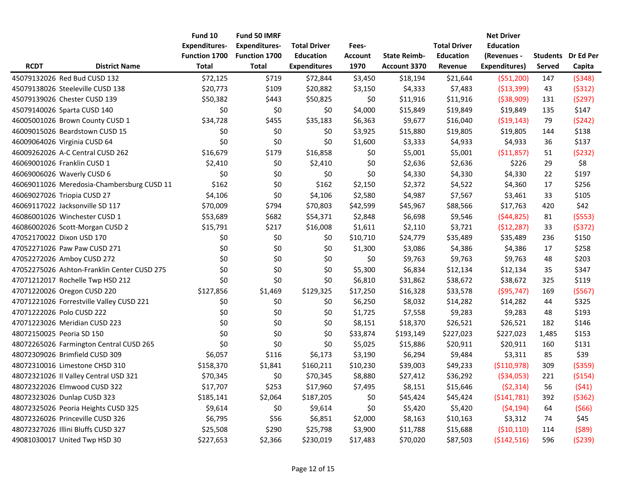|             |                                             | Fund 10              | <b>Fund 50 IMRF</b>  |                     |                |                     |                     | <b>Net Driver</b>    |               |                           |
|-------------|---------------------------------------------|----------------------|----------------------|---------------------|----------------|---------------------|---------------------|----------------------|---------------|---------------------------|
|             |                                             | <b>Expenditures-</b> | <b>Expenditures-</b> | <b>Total Driver</b> | Fees-          |                     | <b>Total Driver</b> | <b>Education</b>     |               |                           |
|             |                                             | <b>Function 1700</b> | <b>Function 1700</b> | <b>Education</b>    | <b>Account</b> | <b>State Reimb-</b> | <b>Education</b>    | (Revenues -          |               | <b>Students</b> Dr Ed Per |
| <b>RCDT</b> | <b>District Name</b>                        | Total                | <b>Total</b>         | <b>Expenditures</b> | 1970           | Account 3370        | Revenue             | <b>Expenditures)</b> | <b>Served</b> | Capita                    |
|             | 45079132026 Red Bud CUSD 132                | \$72,125             | \$719                | \$72,844            | \$3,450        | \$18,194            | \$21,644            | ( \$51,200)          | 147           | (5348)                    |
|             | 45079138026 Steeleville CUSD 138            | \$20,773             | \$109                | \$20,882            | \$3,150        | \$4,333             | \$7,483             | ( \$13, 399)         | 43            | (5312)                    |
|             | 45079139026 Chester CUSD 139                | \$50,382             | \$443                | \$50,825            | \$0            | \$11,916            | \$11,916            | ( \$38,909)          | 131           | (5297)                    |
|             | 45079140026 Sparta CUSD 140                 | \$0                  | \$0                  | \$0                 | \$4,000        | \$15,849            | \$19,849            | \$19,849             | 135           | \$147                     |
|             | 46005001026 Brown County CUSD 1             | \$34,728             | \$455                | \$35,183            | \$6,363        | \$9,677             | \$16,040            | (519, 143)           | 79            | (5242)                    |
|             | 46009015026 Beardstown CUSD 15              | \$0                  | \$0                  | \$0                 | \$3,925        | \$15,880            | \$19,805            | \$19,805             | 144           | \$138                     |
|             | 46009064026 Virginia CUSD 64                | \$0                  | \$0                  | \$0                 | \$1,600        | \$3,333             | \$4,933             | \$4,933              | 36            | \$137                     |
|             | 46009262026 A-C Central CUSD 262            | \$16,679             | \$179                | \$16,858            | \$0            | \$5,001             | \$5,001             | ( \$11,857)          | 51            | (5232)                    |
|             | 46069001026 Franklin CUSD 1                 | \$2,410              | \$0                  | \$2,410             | \$0            | \$2,636             | \$2,636             | \$226                | 29            | \$8                       |
|             | 46069006026 Waverly CUSD 6                  | \$0                  | \$0                  | \$0                 | \$0            | \$4,330             | \$4,330             | \$4,330              | 22            | \$197                     |
|             | 46069011026 Meredosia-Chambersburg CUSD 11  | \$162                | \$0                  | \$162               | \$2,150        | \$2,372             | \$4,522             | \$4,360              | 17            | \$256                     |
|             | 46069027026 Triopia CUSD 27                 | \$4,106              | \$0                  | \$4,106             | \$2,580        | \$4,987             | \$7,567             | \$3,461              | 33            | \$105                     |
|             | 46069117022 Jacksonville SD 117             | \$70,009             | \$794                | \$70,803            | \$42,599       | \$45,967            | \$88,566            | \$17,763             | 420           | \$42                      |
|             | 46086001026 Winchester CUSD 1               | \$53,689             | \$682                | \$54,371            | \$2,848        | \$6,698             | \$9,546             | (544, 825)           | 81            | (5553)                    |
|             | 46086002026 Scott-Morgan CUSD 2             | \$15,791             | \$217                | \$16,008            | \$1,611        | \$2,110             | \$3,721             | (\$12,287)           | 33            | (5372)                    |
|             | 47052170022 Dixon USD 170                   | \$0                  | \$0                  | \$0                 | \$10,710       | \$24,779            | \$35,489            | \$35,489             | 236           | \$150                     |
|             | 47052271026 Paw Paw CUSD 271                | \$0                  | \$0                  | \$0                 | \$1,300        | \$3,086             | \$4,386             | \$4,386              | 17            | \$258                     |
|             | 47052272026 Amboy CUSD 272                  | \$0                  | \$0                  | \$0                 | \$0            | \$9,763             | \$9,763             | \$9,763              | 48            | \$203                     |
|             | 47052275026 Ashton-Franklin Center CUSD 275 | \$0                  | \$0                  | \$0                 | \$5,300        | \$6,834             | \$12,134            | \$12,134             | 35            | \$347                     |
|             | 47071212017 Rochelle Twp HSD 212            | \$0                  | \$0                  | \$0                 | \$6,810        | \$31,862            | \$38,672            | \$38,672             | 325           | \$119                     |
|             | 47071220026 Oregon CUSD 220                 | \$127,856            | \$1,469              | \$129,325           | \$17,250       | \$16,328            | \$33,578            | (595, 747)           | 169           | (5567)                    |
|             | 47071221026 Forrestville Valley CUSD 221    | \$0                  | \$0                  | \$0                 | \$6,250        | \$8,032             | \$14,282            | \$14,282             | 44            | \$325                     |
|             | 47071222026 Polo CUSD 222                   | \$0                  | \$0                  | \$0                 | \$1,725        | \$7,558             | \$9,283             | \$9,283              | 48            | \$193                     |
|             | 47071223026 Meridian CUSD 223               | \$0                  | \$0                  | \$0                 | \$8,151        | \$18,370            | \$26,521            | \$26,521             | 182           | \$146                     |
|             | 48072150025 Peoria SD 150                   | \$0                  | \$0                  | \$0                 | \$33,874       | \$193,149           | \$227,023           | \$227,023            | 1,485         | \$153                     |
|             | 48072265026 Farmington Central CUSD 265     | \$0                  | \$0                  | \$0                 | \$5,025        | \$15,886            | \$20,911            | \$20,911             | 160           | \$131                     |
|             | 48072309026 Brimfield CUSD 309              | \$6,057              | \$116                | \$6,173             | \$3,190        | \$6,294             | \$9,484             | \$3,311              | 85            | \$39                      |
|             | 48072310016 Limestone CHSD 310              | \$158,370            | \$1,841              | \$160,211           | \$10,230       | \$39,003            | \$49,233            | ( \$110, 978)        | 309           | ( \$359)                  |
|             | 48072321026 Il Valley Central USD 321       | \$70,345             | \$0                  | \$70,345            | \$8,880        | \$27,412            | \$36,292            | ( \$34,053)          | 221           | ( \$154)                  |
|             | 48072322026 Elmwood CUSD 322                | \$17,707             | \$253                | \$17,960            | \$7,495        | \$8,151             | \$15,646            | (52, 314)            | 56            | (541)                     |
|             | 48072323026 Dunlap CUSD 323                 | \$185,141            | \$2,064              | \$187,205           | \$0            | \$45,424            | \$45,424            | (5141,781)           | 392           | ( \$362)                  |
|             | 48072325026 Peoria Heights CUSD 325         | \$9,614              | \$0                  | \$9,614             | \$0            | \$5,420             | \$5,420             | (54, 194)            | 64            | (566)                     |
|             | 48072326026 Princeville CUSD 326            | \$6,795              | \$56                 | \$6,851             | \$2,000        | \$8,163             | \$10,163            | \$3,312              | 74            | \$45                      |
|             | 48072327026 Illini Bluffs CUSD 327          | \$25,508             | \$290                | \$25,798            | \$3,900        | \$11,788            | \$15,688            | (510, 110)           | 114           | (589)                     |
|             | 49081030017 United Twp HSD 30               | \$227,653            | \$2,366              | \$230,019           | \$17,483       | \$70,020            | \$87,503            | ( \$142, 516)        | 596           | (5239)                    |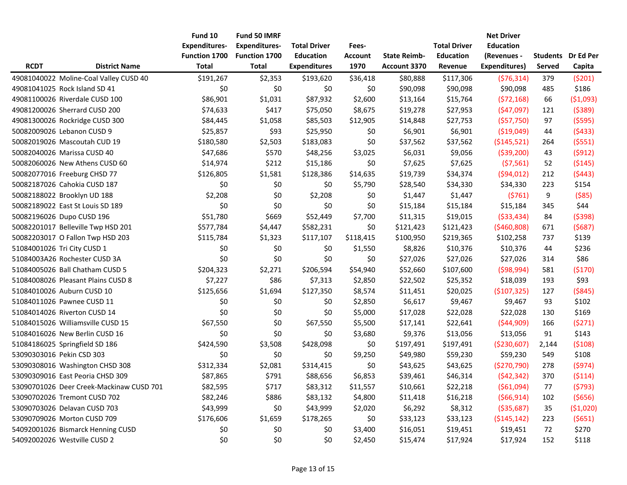|             |                                          | Fund 10              | <b>Fund 50 IMRF</b>  |                     |                |                     |                     | <b>Net Driver</b>    |        |                           |
|-------------|------------------------------------------|----------------------|----------------------|---------------------|----------------|---------------------|---------------------|----------------------|--------|---------------------------|
|             |                                          | <b>Expenditures-</b> | <b>Expenditures-</b> | <b>Total Driver</b> | Fees-          |                     | <b>Total Driver</b> | <b>Education</b>     |        |                           |
|             |                                          | <b>Function 1700</b> | <b>Function 1700</b> | <b>Education</b>    | <b>Account</b> | <b>State Reimb-</b> | <b>Education</b>    | (Revenues -          |        | <b>Students</b> Dr Ed Per |
| <b>RCDT</b> | <b>District Name</b>                     | Total                | <b>Total</b>         | <b>Expenditures</b> | 1970           | Account 3370        | Revenue             | <b>Expenditures)</b> | Served | Capita                    |
|             | 49081040022 Moline-Coal Valley CUSD 40   | \$191,267            | \$2,353              | \$193,620           | \$36,418       | \$80,888            | \$117,306           | (576, 314)           | 379    | (5201)                    |
|             | 49081041025 Rock Island SD 41            | \$0                  | \$0                  | \$0                 | \$0            | \$90,098            | \$90,098            | \$90,098             | 485    | \$186                     |
|             | 49081100026 Riverdale CUSD 100           | \$86,901             | \$1,031              | \$87,932            | \$2,600        | \$13,164            | \$15,764            | (572, 168)           | 66     | ( \$1,093)                |
|             | 49081200026 Sherrard CUSD 200            | \$74,633             | \$417                | \$75,050            | \$8,675        | \$19,278            | \$27,953            | (547,097)            | 121    | (5389)                    |
|             | 49081300026 Rockridge CUSD 300           | \$84,445             | \$1,058              | \$85,503            | \$12,905       | \$14,848            | \$27,753            | (557, 750)           | 97     | (5595)                    |
|             | 50082009026 Lebanon CUSD 9               | \$25,857             | \$93                 | \$25,950            | \$0            | \$6,901             | \$6,901             | ( \$19,049)          | 44     | (5433)                    |
|             | 50082019026 Mascoutah CUD 19             | \$180,580            | \$2,503              | \$183,083           | \$0            | \$37,562            | \$37,562            | ( \$145, 521)        | 264    | (5551)                    |
|             | 50082040026 Marissa CUSD 40              | \$47,686             | \$570                | \$48,256            | \$3,025        | \$6,031             | \$9,056             | ( \$39, 200)         | 43     | (5912)                    |
|             | 50082060026 New Athens CUSD 60           | \$14,974             | \$212                | \$15,186            | \$0            | \$7,625             | \$7,625             | (57, 561)            | 52     | (5145)                    |
|             | 50082077016 Freeburg CHSD 77             | \$126,805            | \$1,581              | \$128,386           | \$14,635       | \$19,739            | \$34,374            | (594, 012)           | 212    | (5443)                    |
|             | 50082187026 Cahokia CUSD 187             | \$0                  | \$0                  | \$0                 | \$5,790        | \$28,540            | \$34,330            | \$34,330             | 223    | \$154                     |
|             | 50082188022 Brooklyn UD 188              | \$2,208              | \$0                  | \$2,208             | \$0            | \$1,447             | \$1,447             | (5761)               | 9      | (585)                     |
|             | 50082189022 East St Louis SD 189         | \$0                  | \$0                  | \$0                 | \$0            | \$15,184            | \$15,184            | \$15,184             | 345    | \$44                      |
|             | 50082196026 Dupo CUSD 196                | \$51,780             | \$669                | \$52,449            | \$7,700        | \$11,315            | \$19,015            | ( \$33,434)          | 84     | (5398)                    |
|             | 50082201017 Belleville Twp HSD 201       | \$577,784            | \$4,447              | \$582,231           | \$0            | \$121,423           | \$121,423           | ( \$460, 808)        | 671    | (5687)                    |
|             | 50082203017 O Fallon Twp HSD 203         | \$115,784            | \$1,323              | \$117,107           | \$118,415      | \$100,950           | \$219,365           | \$102,258            | 737    | \$139                     |
|             | 51084001026 Tri City CUSD 1              | \$0                  | \$0                  | \$0                 | \$1,550        | \$8,826             | \$10,376            | \$10,376             | 44     | \$236                     |
|             | 51084003A26 Rochester CUSD 3A            | \$0                  | \$0                  | \$0                 | \$0            | \$27,026            | \$27,026            | \$27,026             | 314    | \$86                      |
|             | 51084005026 Ball Chatham CUSD 5          | \$204,323            | \$2,271              | \$206,594           | \$54,940       | \$52,660            | \$107,600           | (598, 994)           | 581    | (5170)                    |
|             | 51084008026 Pleasant Plains CUSD 8       | \$7,227              | \$86                 | \$7,313             | \$2,850        | \$22,502            | \$25,352            | \$18,039             | 193    | \$93                      |
|             | 51084010026 Auburn CUSD 10               | \$125,656            | \$1,694              | \$127,350           | \$8,574        | \$11,451            | \$20,025            | ( \$107, 325)        | 127    | ( \$845)                  |
|             | 51084011026 Pawnee CUSD 11               | \$0                  | \$0                  | \$0                 | \$2,850        | \$6,617             | \$9,467             | \$9,467              | 93     | \$102                     |
|             | 51084014026 Riverton CUSD 14             | \$0                  | \$0                  | \$0                 | \$5,000        | \$17,028            | \$22,028            | \$22,028             | 130    | \$169                     |
|             | 51084015026 Williamsville CUSD 15        | \$67,550             | \$0                  | \$67,550            | \$5,500        | \$17,141            | \$22,641            | (544,909)            | 166    | (5271)                    |
|             | 51084016026 New Berlin CUSD 16           | \$0                  | \$0                  | \$0                 | \$3,680        | \$9,376             | \$13,056            | \$13,056             | 91     | \$143                     |
|             | 51084186025 Springfield SD 186           | \$424,590            | \$3,508              | \$428,098           | \$0            | \$197,491           | \$197,491           | ( \$230,607)         | 2,144  | (5108)                    |
|             | 53090303016 Pekin CSD 303                | \$0                  | \$0                  | \$0                 | \$9,250        | \$49,980            | \$59,230            | \$59,230             | 549    | \$108                     |
|             | 53090308016 Washington CHSD 308          | \$312,334            | \$2,081              | \$314,415           | \$0            | \$43,625            | \$43,625            | (\$270,790)          | 278    | (5974)                    |
|             | 53090309016 East Peoria CHSD 309         | \$87,865             | \$791                | \$88,656            | \$6,853        | \$39,461            | \$46,314            | (542, 342)           | 370    | (5114)                    |
|             | 53090701026 Deer Creek-Mackinaw CUSD 701 | \$82,595             | \$717                | \$83,312            | \$11,557       | \$10,661            | \$22,218            | ( \$61,094)          | 77     | (5793)                    |
|             | 53090702026 Tremont CUSD 702             | \$82,246             | \$886                | \$83,132            | \$4,800        | \$11,418            | \$16,218            | (566, 914)           | 102    | (5656)                    |
|             | 53090703026 Delavan CUSD 703             | \$43,999             | \$0                  | \$43,999            | \$2,020        | \$6,292             | \$8,312             | ( \$35,687)          | 35     | ( \$1,020)                |
|             | 53090709026 Morton CUSD 709              | \$176,606            | \$1,659              | \$178,265           | \$0            | \$33,123            | \$33,123            | ( \$145, 142)        | 223    | (5651)                    |
|             | 54092001026 Bismarck Henning CUSD        | \$0                  | \$0                  | \$0                 | \$3,400        | \$16,051            | \$19,451            | \$19,451             | 72     | \$270                     |
|             | 54092002026 Westville CUSD 2             | \$0                  | \$0                  | \$0                 | \$2,450        | \$15,474            | \$17,924            | \$17,924             | 152    | \$118                     |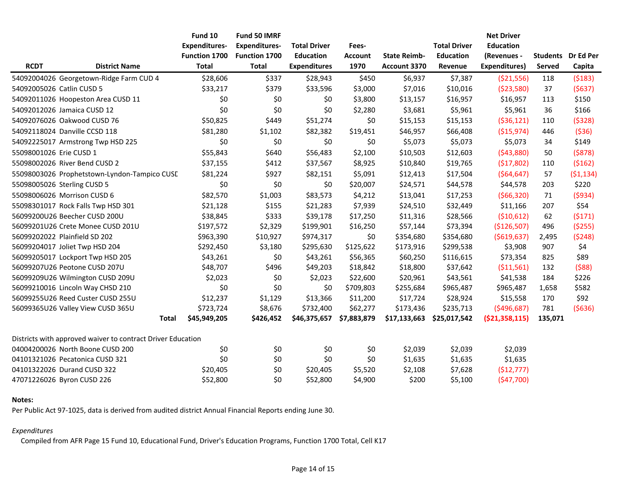|                           |                                                             | Fund 10              | Fund 50 IMRF         |                     |                |                     |                     | <b>Net Driver</b>    |               |                           |
|---------------------------|-------------------------------------------------------------|----------------------|----------------------|---------------------|----------------|---------------------|---------------------|----------------------|---------------|---------------------------|
|                           |                                                             | <b>Expenditures-</b> | <b>Expenditures-</b> | <b>Total Driver</b> | Fees-          |                     | <b>Total Driver</b> | <b>Education</b>     |               |                           |
|                           |                                                             | Function 1700        | Function 1700        | <b>Education</b>    | <b>Account</b> | <b>State Reimb-</b> | <b>Education</b>    | (Revenues -          |               | <b>Students</b> Dr Ed Per |
| <b>RCDT</b>               | <b>District Name</b>                                        | <b>Total</b>         | <b>Total</b>         | <b>Expenditures</b> | 1970           | Account 3370        | Revenue             | <b>Expenditures)</b> | <b>Served</b> | Capita                    |
|                           | 54092004026 Georgetown-Ridge Farm CUD 4                     | \$28,606             | \$337                | \$28,943            | \$450          | \$6,937             | \$7,387             | ( \$21,556)          | 118           | (5183)                    |
| 54092005026 Catlin CUSD 5 |                                                             | \$33,217             | \$379                | \$33,596            | \$3,000        | \$7,016             | \$10,016            | (\$23,580)           | 37            | (5637)                    |
|                           | 54092011026 Hoopeston Area CUSD 11                          | \$0                  | \$0                  | \$0                 | \$3,800        | \$13,157            | \$16,957            | \$16,957             | 113           | \$150                     |
|                           | 54092012026 Jamaica CUSD 12                                 | \$0                  | \$0                  | \$0                 | \$2,280        | \$3,681             | \$5,961             | \$5,961              | 36            | \$166                     |
|                           | 54092076026 Oakwood CUSD 76                                 | \$50,825             | \$449                | \$51,274            | \$0            | \$15,153            | \$15,153            | ( \$36, 121)         | 110           | (5328)                    |
|                           | 54092118024 Danville CCSD 118                               | \$81,280             | \$1,102              | \$82,382            | \$19,451       | \$46,957            | \$66,408            | ( \$15,974)          | 446           | ( \$36)                   |
|                           | 54092225017 Armstrong Twp HSD 225                           | \$0                  | \$0                  | \$0                 | \$0            | \$5,073             | \$5,073             | \$5,073              | 34            | \$149                     |
| 55098001026 Erie CUSD 1   |                                                             | \$55,843             | \$640                | \$56,483            | \$2,100        | \$10,503            | \$12,603            | (543,880)            | 50            | (5878)                    |
|                           | 55098002026 River Bend CUSD 2                               | \$37,155             | \$412                | \$37,567            | \$8,925        | \$10,840            | \$19,765            | (\$17,802)           | 110           | (5162)                    |
|                           | 55098003026 Prophetstown-Lyndon-Tampico CUSE                | \$81,224             | \$927                | \$82,151            | \$5,091        | \$12,413            | \$17,504            | (564, 647)           | 57            | ( \$1,134)                |
|                           | 55098005026 Sterling CUSD 5                                 | \$0                  | \$0                  | \$0                 | \$20,007       | \$24,571            | \$44,578            | \$44,578             | 203           | \$220                     |
|                           | 55098006026 Morrison CUSD 6                                 | \$82,570             | \$1,003              | \$83,573            | \$4,212        | \$13,041            | \$17,253            | (566,320)            | 71            | (5934)                    |
|                           | 55098301017 Rock Falls Twp HSD 301                          | \$21,128             | \$155                | \$21,283            | \$7,939        | \$24,510            | \$32,449            | \$11,166             | 207           | \$54                      |
|                           | 56099200U26 Beecher CUSD 200U                               | \$38,845             | \$333                | \$39,178            | \$17,250       | \$11,316            | \$28,566            | (\$10,612)           | 62            | (5171)                    |
|                           | 56099201U26 Crete Monee CUSD 201U                           | \$197,572            | \$2,329              | \$199,901           | \$16,250       | \$57,144            | \$73,394            | (\$126,507)          | 496           | ( \$255)                  |
|                           | 56099202022 Plainfield SD 202                               | \$963,390            | \$10,927             | \$974,317           | \$0            | \$354,680           | \$354,680           | ( \$619, 637)        | 2,495         | (5248)                    |
|                           | 56099204017 Joliet Twp HSD 204                              | \$292,450            | \$3,180              | \$295,630           | \$125,622      | \$173,916           | \$299,538           | \$3,908              | 907           | \$4                       |
|                           | 56099205017 Lockport Twp HSD 205                            | \$43,261             | \$0                  | \$43,261            | \$56,365       | \$60,250            | \$116,615           | \$73,354             | 825           | \$89                      |
|                           | 56099207U26 Peotone CUSD 207U                               | \$48,707             | \$496                | \$49,203            | \$18,842       | \$18,800            | \$37,642            | ( \$11,561)          | 132           | (588)                     |
|                           | 56099209U26 Wilmington CUSD 209U                            | \$2,023              | \$0                  | \$2,023             | \$22,600       | \$20,961            | \$43,561            | \$41,538             | 184           | \$226                     |
|                           | 56099210016 Lincoln Way CHSD 210                            | \$0                  | \$0                  | \$0                 | \$709,803      | \$255,684           | \$965,487           | \$965,487            | 1,658         | \$582                     |
|                           | 56099255U26 Reed Custer CUSD 255U                           | \$12,237             | \$1,129              | \$13,366            | \$11,200       | \$17,724            | \$28,924            | \$15,558             | 170           | \$92                      |
|                           | 56099365U26 Valley View CUSD 365U                           | \$723,724            | \$8,676              | \$732,400           | \$62,277       | \$173,436           | \$235,713           | ( \$496, 687)        | 781           | (5636)                    |
|                           | <b>Total</b>                                                | \$45,949,205         | \$426,452            | \$46,375,657        | \$7,883,879    | \$17,133,663        | \$25,017,542        | ( \$21,358,115)      | 135,071       |                           |
|                           | Districts with approved waiver to contract Driver Education |                      |                      |                     |                |                     |                     |                      |               |                           |
|                           | 04004200026 North Boone CUSD 200                            | \$0                  | \$0                  | \$0                 | \$0            | \$2,039             | \$2,039             | \$2,039              |               |                           |
|                           | 04101321026 Pecatonica CUSD 321                             | \$0                  | \$0                  | \$0                 | \$0            | \$1,635             | \$1,635             | \$1,635              |               |                           |
|                           | 04101322026 Durand CUSD 322                                 | \$20,405             | \$0                  | \$20,405            | \$5,520        | \$2,108             | \$7,628             | (\$12,777)           |               |                           |
|                           | 47071226026 Byron CUSD 226                                  | \$52,800             | \$0                  | \$52,800            | \$4,900        | \$200               | \$5,100             | (547,700)            |               |                           |

### **Notes:**

Per Public Act 97-1025, data is derived from audited district Annual Financial Reports ending June 30.

## *Expenditures*

Compiled from AFR Page 15 Fund 10, Educational Fund, Driver's Education Programs, Function 1700 Total, Cell K17